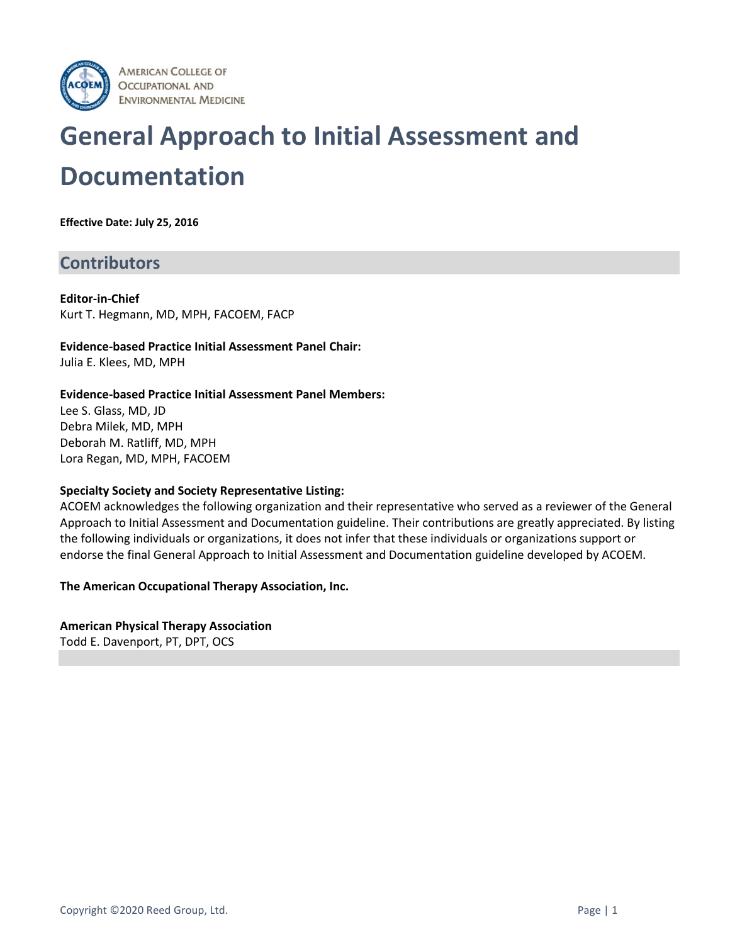

# **General Approach to Initial Assessment and Documentation**

**Effective Date: July 25, 2016**

## **Contributors**

**Editor-in-Chief** Kurt T. Hegmann, MD, MPH, FACOEM, FACP

**Evidence-based Practice Initial Assessment Panel Chair:** Julia E. Klees, MD, MPH

#### **Evidence-based Practice Initial Assessment Panel Members:**

Lee S. Glass, MD, JD Debra Milek, MD, MPH Deborah M. Ratliff, MD, MPH Lora Regan, MD, MPH, FACOEM

#### **Specialty Society and Society Representative Listing:**

ACOEM acknowledges the following organization and their representative who served as a reviewer of the General Approach to Initial Assessment and Documentation guideline. Their contributions are greatly appreciated. By listing the following individuals or organizations, it does not infer that these individuals or organizations support or endorse the final General Approach to Initial Assessment and Documentation guideline developed by ACOEM.

**The American Occupational Therapy Association, Inc.**

**American Physical Therapy Association** Todd E. Davenport, PT, DPT, OCS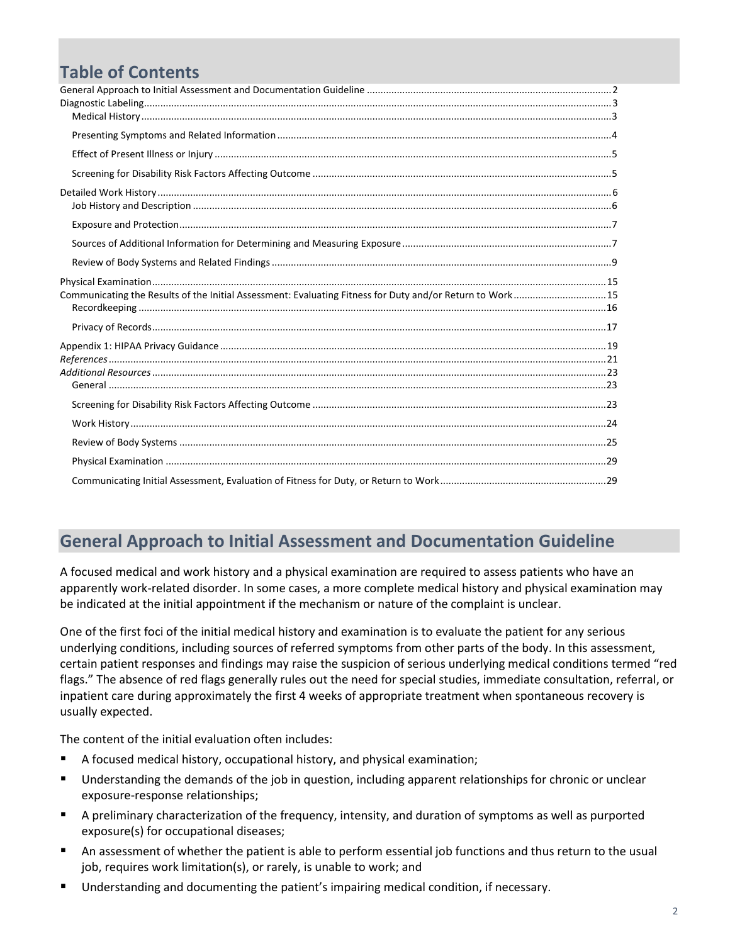# **Table of Contents**

| Communicating the Results of the Initial Assessment: Evaluating Fitness for Duty and/or Return to Work15 |  |
|----------------------------------------------------------------------------------------------------------|--|
|                                                                                                          |  |
|                                                                                                          |  |
|                                                                                                          |  |
|                                                                                                          |  |
|                                                                                                          |  |
|                                                                                                          |  |
|                                                                                                          |  |
|                                                                                                          |  |
|                                                                                                          |  |
|                                                                                                          |  |
|                                                                                                          |  |

# <span id="page-1-0"></span>**General Approach to Initial Assessment and Documentation Guideline**

A focused medical and work history and a physical examination are required to assess patients who have an apparently work-related disorder. In some cases, a more complete medical history and physical examination may be indicated at the initial appointment if the mechanism or nature of the complaint is unclear.

One of the first foci of the initial medical history and examination is to evaluate the patient for any serious underlying conditions, including sources of referred symptoms from other parts of the body. In this assessment, certain patient responses and findings may raise the suspicion of serious underlying medical conditions termed "red flags." The absence of red flags generally rules out the need for special studies, immediate consultation, referral, or inpatient care during approximately the first 4 weeks of appropriate treatment when spontaneous recovery is usually expected.

The content of the initial evaluation often includes:

- A focused medical history, occupational history, and physical examination;
- Understanding the demands of the job in question, including apparent relationships for chronic or unclear exposure-response relationships;
- A preliminary characterization of the frequency, intensity, and duration of symptoms as well as purported exposure(s) for occupational diseases;
- An assessment of whether the patient is able to perform essential job functions and thus return to the usual job, requires work limitation(s), or rarely, is unable to work; and
- Understanding and documenting the patient's impairing medical condition, if necessary.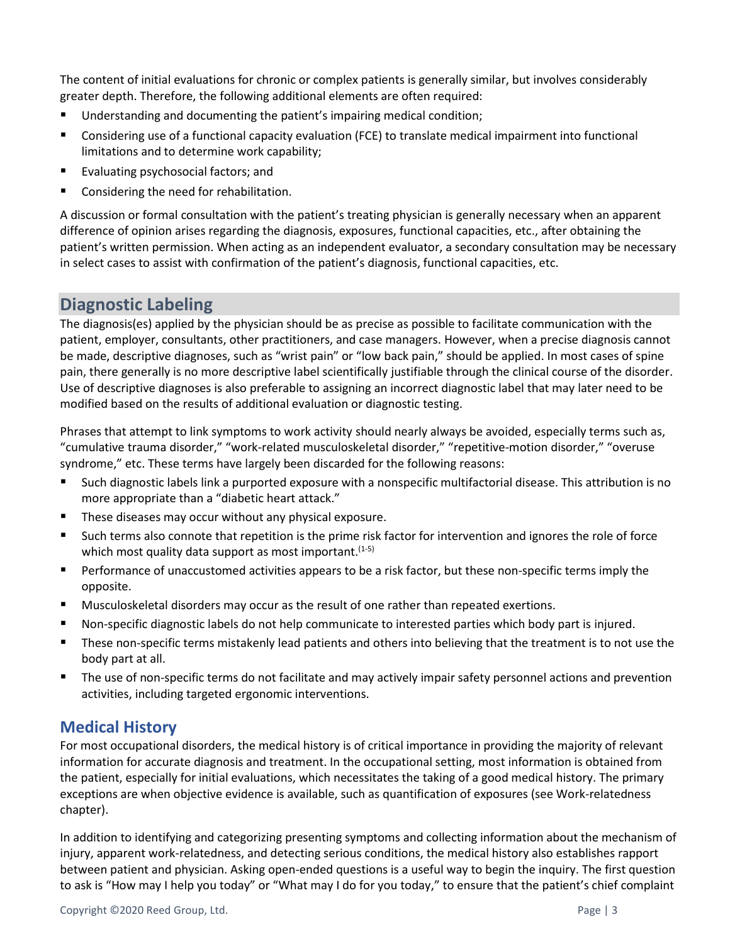The content of initial evaluations for chronic or complex patients is generally similar, but involves considerably greater depth. Therefore, the following additional elements are often required:

- Understanding and documenting the patient's impairing medical condition;
- Considering use of a functional capacity evaluation (FCE) to translate medical impairment into functional limitations and to determine work capability;
- Evaluating psychosocial factors; and
- Considering the need for rehabilitation.

A discussion or formal consultation with the patient's treating physician is generally necessary when an apparent difference of opinion arises regarding the diagnosis, exposures, functional capacities, etc., after obtaining the patient's written permission. When acting as an independent evaluator, a secondary consultation may be necessary in select cases to assist with confirmation of the patient's diagnosis, functional capacities, etc.

# <span id="page-2-0"></span>**Diagnostic Labeling**

The diagnosis(es) applied by the physician should be as precise as possible to facilitate communication with the patient, employer, consultants, other practitioners, and case managers. However, when a precise diagnosis cannot be made, descriptive diagnoses, such as "wrist pain" or "low back pain," should be applied. In most cases of spine pain, there generally is no more descriptive label scientifically justifiable through the clinical course of the disorder. Use of descriptive diagnoses is also preferable to assigning an incorrect diagnostic label that may later need to be modified based on the results of additional evaluation or diagnostic testing.

Phrases that attempt to link symptoms to work activity should nearly always be avoided, especially terms such as, "cumulative trauma disorder," "work-related musculoskeletal disorder," "repetitive-motion disorder," "overuse syndrome," etc. These terms have largely been discarded for the following reasons:

- Such diagnostic labels link a purported exposure with a nonspecific multifactorial disease. This attribution is no more appropriate than a "diabetic heart attack."
- These diseases may occur without any physical exposure.
- Such terms also connote that repetition is the prime risk factor for intervention and ignores the role of force which most quality data support as most important. (1-5)
- Performance of unaccustomed activities appears to be a risk factor, but these non-specific terms imply the opposite.
- Musculoskeletal disorders may occur as the result of one rather than repeated exertions.
- Non-specific diagnostic labels do not help communicate to interested parties which body part is injured.
- These non-specific terms mistakenly lead patients and others into believing that the treatment is to not use the body part at all.
- The use of non-specific terms do not facilitate and may actively impair safety personnel actions and prevention activities, including targeted ergonomic interventions.

## <span id="page-2-1"></span>**Medical History**

For most occupational disorders, the medical history is of critical importance in providing the majority of relevant information for accurate diagnosis and treatment. In the occupational setting, most information is obtained from the patient, especially for initial evaluations, which necessitates the taking of a good medical history. The primary exceptions are when objective evidence is available, such as quantification of exposures (see Work-relatedness chapter).

In addition to identifying and categorizing presenting symptoms and collecting information about the mechanism of injury, apparent work-relatedness, and detecting serious conditions, the medical history also establishes rapport between patient and physician. Asking open-ended questions is a useful way to begin the inquiry. The first question to ask is "How may I help you today" or "What may I do for you today," to ensure that the patient's chief complaint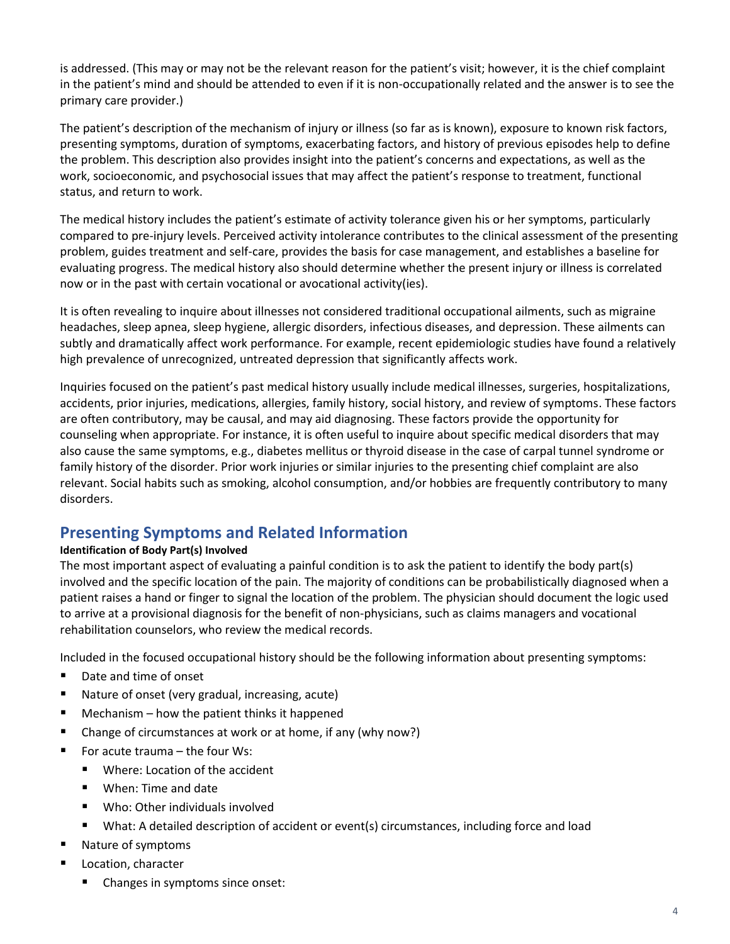is addressed. (This may or may not be the relevant reason for the patient's visit; however, it is the chief complaint in the patient's mind and should be attended to even if it is non-occupationally related and the answer is to see the primary care provider.)

The patient's description of the mechanism of injury or illness (so far as is known), exposure to known risk factors, presenting symptoms, duration of symptoms, exacerbating factors, and history of previous episodes help to define the problem. This description also provides insight into the patient's concerns and expectations, as well as the work, socioeconomic, and psychosocial issues that may affect the patient's response to treatment, functional status, and return to work.

The medical history includes the patient's estimate of activity tolerance given his or her symptoms, particularly compared to pre-injury levels. Perceived activity intolerance contributes to the clinical assessment of the presenting problem, guides treatment and self-care, provides the basis for case management, and establishes a baseline for evaluating progress. The medical history also should determine whether the present injury or illness is correlated now or in the past with certain vocational or avocational activity(ies).

It is often revealing to inquire about illnesses not considered traditional occupational ailments, such as migraine headaches, sleep apnea, sleep hygiene, allergic disorders, infectious diseases, and depression. These ailments can subtly and dramatically affect work performance. For example, recent epidemiologic studies have found a relatively high prevalence of unrecognized, untreated depression that significantly affects work.

Inquiries focused on the patient's past medical history usually include medical illnesses, surgeries, hospitalizations, accidents, prior injuries, medications, allergies, family history, social history, and review of symptoms. These factors are often contributory, may be causal, and may aid diagnosing. These factors provide the opportunity for counseling when appropriate. For instance, it is often useful to inquire about specific medical disorders that may also cause the same symptoms, e.g., diabetes mellitus or thyroid disease in the case of carpal tunnel syndrome or family history of the disorder. Prior work injuries or similar injuries to the presenting chief complaint are also relevant. Social habits such as smoking, alcohol consumption, and/or hobbies are frequently contributory to many disorders.

# <span id="page-3-0"></span>**Presenting Symptoms and Related Information**

#### **Identification of Body Part(s) Involved**

The most important aspect of evaluating a painful condition is to ask the patient to identify the body part(s) involved and the specific location of the pain. The majority of conditions can be probabilistically diagnosed when a patient raises a hand or finger to signal the location of the problem. The physician should document the logic used to arrive at a provisional diagnosis for the benefit of non-physicians, such as claims managers and vocational rehabilitation counselors, who review the medical records.

Included in the focused occupational history should be the following information about presenting symptoms:

- Date and time of onset
- Nature of onset (very gradual, increasing, acute)
- Mechanism how the patient thinks it happened
- Change of circumstances at work or at home, if any (why now?)
- $\blacksquare$  For acute trauma the four Ws:
	- Where: Location of the accident
	- When: Time and date
	- Who: Other individuals involved
	- What: A detailed description of accident or event(s) circumstances, including force and load
- Nature of symptoms
- Location, character
	- Changes in symptoms since onset: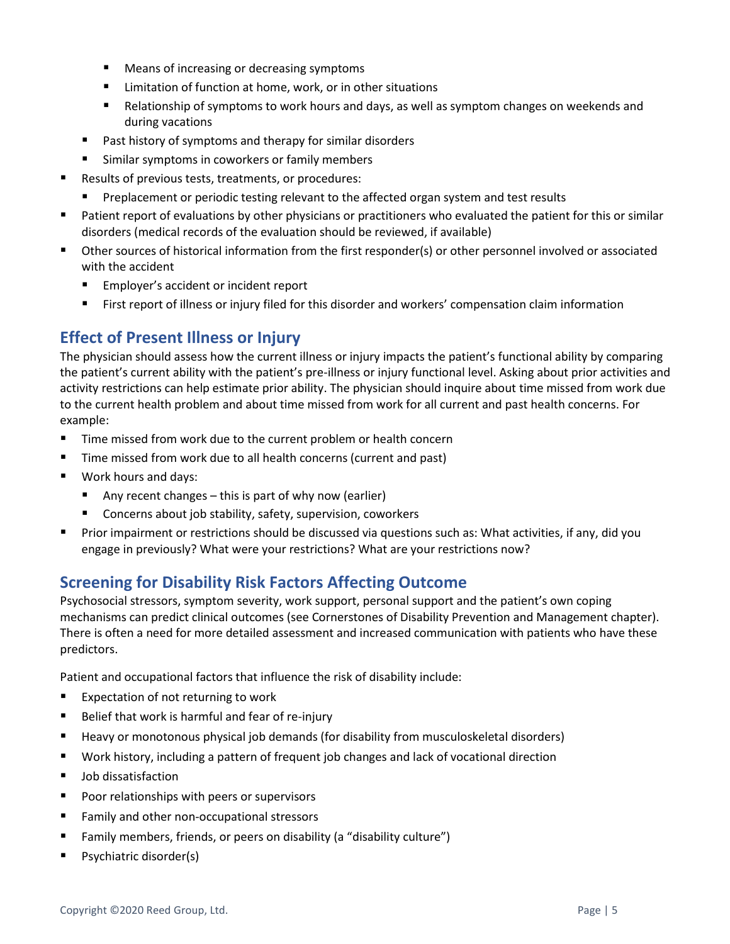- Means of increasing or decreasing symptoms
- Limitation of function at home, work, or in other situations
- Relationship of symptoms to work hours and days, as well as symptom changes on weekends and during vacations
- Past history of symptoms and therapy for similar disorders
- Similar symptoms in coworkers or family members
- Results of previous tests, treatments, or procedures:
	- Preplacement or periodic testing relevant to the affected organ system and test results
- Patient report of evaluations by other physicians or practitioners who evaluated the patient for this or similar disorders (medical records of the evaluation should be reviewed, if available)
- Other sources of historical information from the first responder(s) or other personnel involved or associated with the accident
	- Employer's accident or incident report
	- First report of illness or injury filed for this disorder and workers' compensation claim information

# <span id="page-4-0"></span>**Effect of Present Illness or Injury**

The physician should assess how the current illness or injury impacts the patient's functional ability by comparing the patient's current ability with the patient's pre-illness or injury functional level. Asking about prior activities and activity restrictions can help estimate prior ability. The physician should inquire about time missed from work due to the current health problem and about time missed from work for all current and past health concerns. For example:

- Time missed from work due to the current problem or health concern
- Time missed from work due to all health concerns (current and past)
- Work hours and days:
	- Any recent changes this is part of why now (earlier)
	- Concerns about job stability, safety, supervision, coworkers
- Prior impairment or restrictions should be discussed via questions such as: What activities, if any, did you engage in previously? What were your restrictions? What are your restrictions now?

# <span id="page-4-1"></span>**Screening for Disability Risk Factors Affecting Outcome**

Psychosocial stressors, symptom severity, work support, personal support and the patient's own coping mechanisms can predict clinical outcomes (see Cornerstones of Disability Prevention and Management chapter). There is often a need for more detailed assessment and increased communication with patients who have these predictors.

Patient and occupational factors that influence the risk of disability include:

- Expectation of not returning to work
- Belief that work is harmful and fear of re-injury
- Heavy or monotonous physical job demands (for disability from musculoskeletal disorders)
- Work history, including a pattern of frequent job changes and lack of vocational direction
- Job dissatisfaction
- Poor relationships with peers or supervisors
- Family and other non-occupational stressors
- Family members, friends, or peers on disability (a "disability culture")
- Psychiatric disorder(s)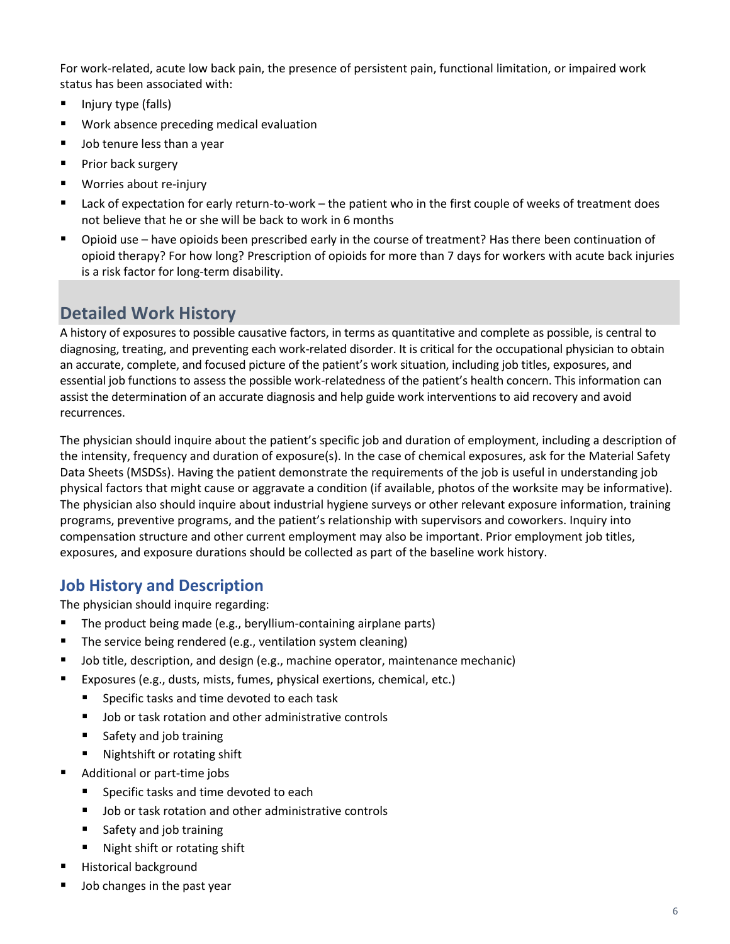For work-related, acute low back pain, the presence of persistent pain, functional limitation, or impaired work status has been associated with:

- Injury type (falls)
- Work absence preceding medical evaluation
- Job tenure less than a year
- Prior back surgery
- Worries about re-injury
- Lack of expectation for early return-to-work the patient who in the first couple of weeks of treatment does not believe that he or she will be back to work in 6 months
- Opioid use have opioids been prescribed early in the course of treatment? Has there been continuation of opioid therapy? For how long? Prescription of opioids for more than 7 days for workers with acute back injuries is a risk factor for long-term disability.

# <span id="page-5-0"></span>**Detailed Work History**

A history of exposures to possible causative factors, in terms as quantitative and complete as possible, is central to diagnosing, treating, and preventing each work-related disorder. It is critical for the occupational physician to obtain an accurate, complete, and focused picture of the patient's work situation, including job titles, exposures, and essential job functions to assess the possible work-relatedness of the patient's health concern. This information can assist the determination of an accurate diagnosis and help guide work interventions to aid recovery and avoid recurrences.

The physician should inquire about the patient's specific job and duration of employment, including a description of the intensity, frequency and duration of exposure(s). In the case of chemical exposures, ask for the Material Safety Data Sheets (MSDSs). Having the patient demonstrate the requirements of the job is useful in understanding job physical factors that might cause or aggravate a condition (if available, photos of the worksite may be informative). The physician also should inquire about industrial hygiene surveys or other relevant exposure information, training programs, preventive programs, and the patient's relationship with supervisors and coworkers. Inquiry into compensation structure and other current employment may also be important. Prior employment job titles, exposures, and exposure durations should be collected as part of the baseline work history.

# <span id="page-5-1"></span>**Job History and Description**

The physician should inquire regarding:

- The product being made (e.g., beryllium-containing airplane parts)
- The service being rendered (e.g., ventilation system cleaning)
- Job title, description, and design (e.g., machine operator, maintenance mechanic)
- Exposures (e.g., dusts, mists, fumes, physical exertions, chemical, etc.)
	- Specific tasks and time devoted to each task
	- Job or task rotation and other administrative controls
	- Safety and job training
	- Nightshift or rotating shift
- Additional or part-time jobs
	- Specific tasks and time devoted to each
	- Job or task rotation and other administrative controls
	- Safety and job training
	- Night shift or rotating shift
- Historical background
- Job changes in the past year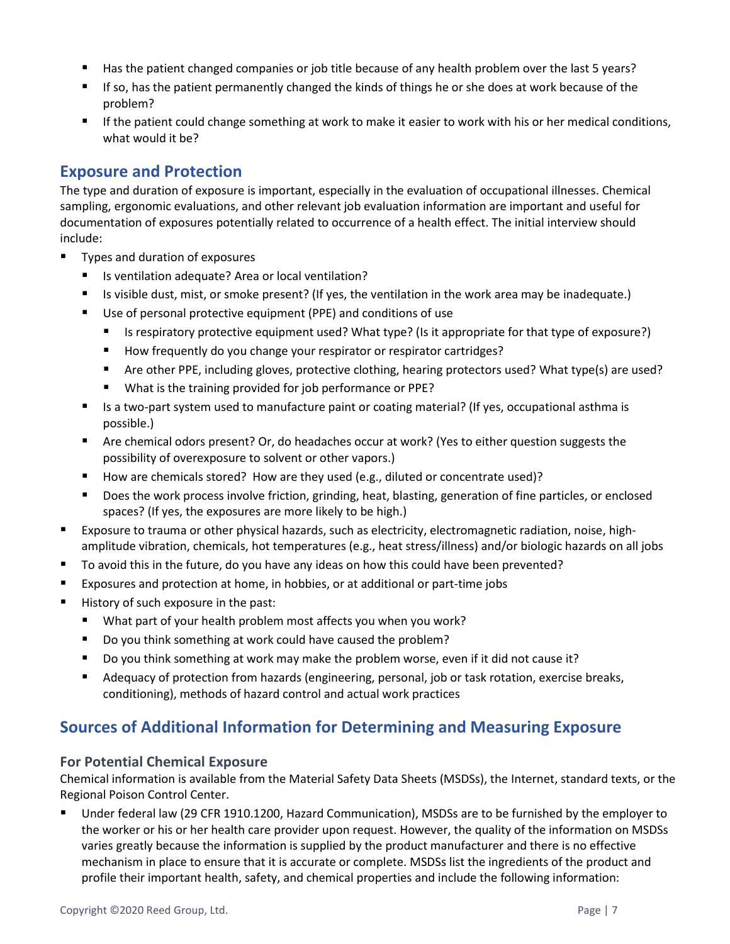- Has the patient changed companies or job title because of any health problem over the last 5 years?
- If so, has the patient permanently changed the kinds of things he or she does at work because of the problem?
- If the patient could change something at work to make it easier to work with his or her medical conditions, what would it be?

# <span id="page-6-0"></span>**Exposure and Protection**

The type and duration of exposure is important, especially in the evaluation of occupational illnesses. Chemical sampling, ergonomic evaluations, and other relevant job evaluation information are important and useful for documentation of exposures potentially related to occurrence of a health effect. The initial interview should include:

- Types and duration of exposures
	- Is ventilation adequate? Area or local ventilation?
	- Is visible dust, mist, or smoke present? (If yes, the ventilation in the work area may be inadequate.)
	- Use of personal protective equipment (PPE) and conditions of use
		- Is respiratory protective equipment used? What type? (Is it appropriate for that type of exposure?)
		- How frequently do you change your respirator or respirator cartridges?
		- Are other PPE, including gloves, protective clothing, hearing protectors used? What type(s) are used?
		- What is the training provided for job performance or PPE?
	- Is a two-part system used to manufacture paint or coating material? (If yes, occupational asthma is possible.)
	- Are chemical odors present? Or, do headaches occur at work? (Yes to either question suggests the possibility of overexposure to solvent or other vapors.)
	- How are chemicals stored? How are they used (e.g., diluted or concentrate used)?
	- Does the work process involve friction, grinding, heat, blasting, generation of fine particles, or enclosed spaces? (If yes, the exposures are more likely to be high.)
- Exposure to trauma or other physical hazards, such as electricity, electromagnetic radiation, noise, highamplitude vibration, chemicals, hot temperatures (e.g., heat stress/illness) and/or biologic hazards on all jobs
- To avoid this in the future, do you have any ideas on how this could have been prevented?
- Exposures and protection at home, in hobbies, or at additional or part-time jobs
- History of such exposure in the past:
	- What part of your health problem most affects you when you work?
	- Do you think something at work could have caused the problem?
	- Do you think something at work may make the problem worse, even if it did not cause it?
	- Adequacy of protection from hazards (engineering, personal, job or task rotation, exercise breaks, conditioning), methods of hazard control and actual work practices

# <span id="page-6-1"></span>**Sources of Additional Information for Determining and Measuring Exposure**

#### **For Potential Chemical Exposure**

Chemical information is available from the Material Safety Data Sheets (MSDSs), the Internet, standard texts, or the Regional Poison Control Center.

■ Under federal law (29 CFR 1910.1200, Hazard Communication), MSDSs are to be furnished by the employer to the worker or his or her health care provider upon request. However, the quality of the information on MSDSs varies greatly because the information is supplied by the product manufacturer and there is no effective mechanism in place to ensure that it is accurate or complete. MSDSs list the ingredients of the product and profile their important health, safety, and chemical properties and include the following information: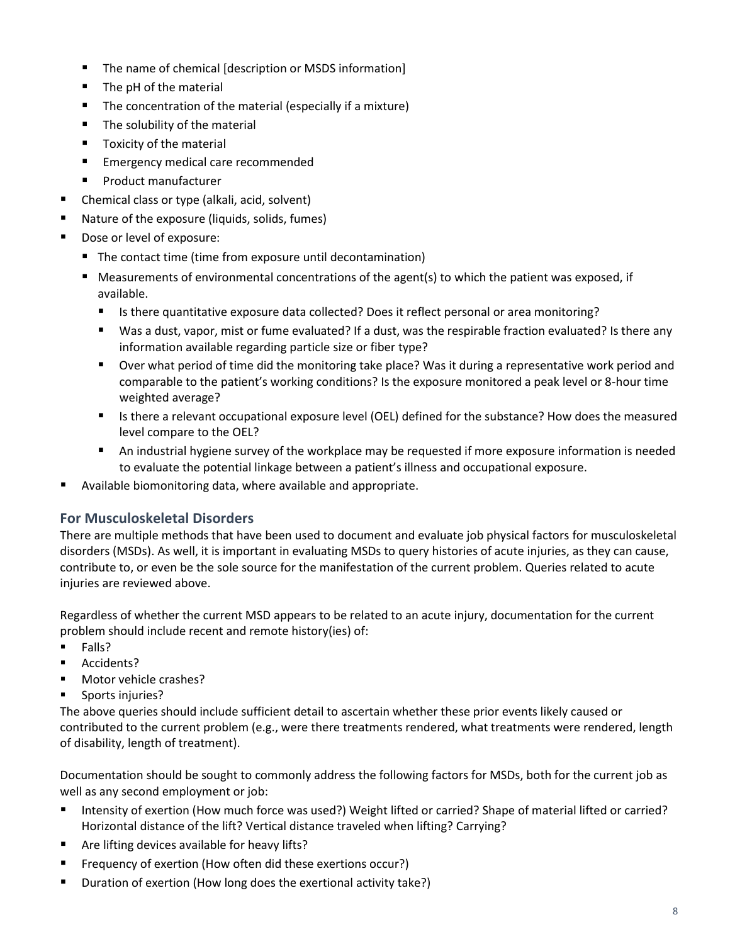- The name of chemical [description or MSDS information]
- The pH of the material
- The concentration of the material (especially if a mixture)
- The solubility of the material
- Toxicity of the material
- Emergency medical care recommended
- Product manufacturer
- Chemical class or type (alkali, acid, solvent)
- Nature of the exposure (liquids, solids, fumes)
- Dose or level of exposure:
	- The contact time (time from exposure until decontamination)
	- Measurements of environmental concentrations of the agent(s) to which the patient was exposed, if available.
		- Is there quantitative exposure data collected? Does it reflect personal or area monitoring?
		- Was a dust, vapor, mist or fume evaluated? If a dust, was the respirable fraction evaluated? Is there any information available regarding particle size or fiber type?
		- Over what period of time did the monitoring take place? Was it during a representative work period and comparable to the patient's working conditions? Is the exposure monitored a peak level or 8-hour time weighted average?
		- Is there a relevant occupational exposure level (OEL) defined for the substance? How does the measured level compare to the OEL?
		- An industrial hygiene survey of the workplace may be requested if more exposure information is needed to evaluate the potential linkage between a patient's illness and occupational exposure.
- Available biomonitoring data, where available and appropriate.

## **For Musculoskeletal Disorders**

There are multiple methods that have been used to document and evaluate job physical factors for musculoskeletal disorders (MSDs). As well, it is important in evaluating MSDs to query histories of acute injuries, as they can cause, contribute to, or even be the sole source for the manifestation of the current problem. Queries related to acute injuries are reviewed above.

Regardless of whether the current MSD appears to be related to an acute injury, documentation for the current problem should include recent and remote history(ies) of:

- Falls?
- Accidents?
- Motor vehicle crashes?
- Sports injuries?

The above queries should include sufficient detail to ascertain whether these prior events likely caused or contributed to the current problem (e.g., were there treatments rendered, what treatments were rendered, length of disability, length of treatment).

Documentation should be sought to commonly address the following factors for MSDs, both for the current job as well as any second employment or job:

- Intensity of exertion (How much force was used?) Weight lifted or carried? Shape of material lifted or carried? Horizontal distance of the lift? Vertical distance traveled when lifting? Carrying?
- Are lifting devices available for heavy lifts?
- Frequency of exertion (How often did these exertions occur?)
- Duration of exertion (How long does the exertional activity take?)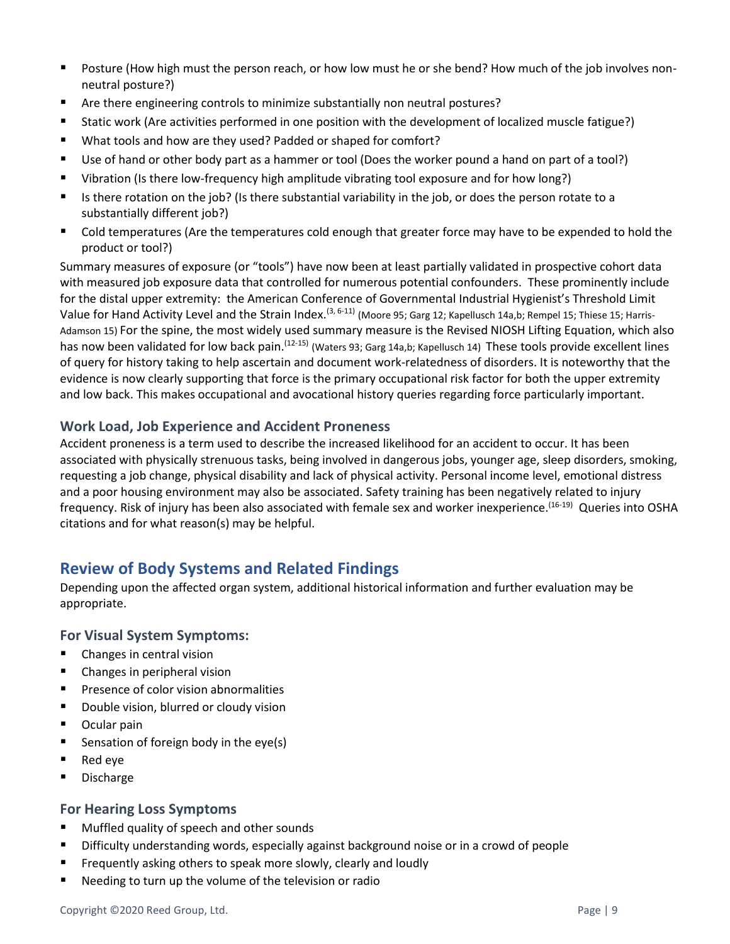- Posture (How high must the person reach, or how low must he or she bend? How much of the job involves nonneutral posture?)
- Are there engineering controls to minimize substantially non neutral postures?
- Static work (Are activities performed in one position with the development of localized muscle fatigue?)
- What tools and how are they used? Padded or shaped for comfort?
- Use of hand or other body part as a hammer or tool (Does the worker pound a hand on part of a tool?)
- Vibration (Is there low-frequency high amplitude vibrating tool exposure and for how long?)
- Is there rotation on the job? (Is there substantial variability in the job, or does the person rotate to a substantially different job?)
- Cold temperatures (Are the temperatures cold enough that greater force may have to be expended to hold the product or tool?)

Summary measures of exposure (or "tools") have now been at least partially validated in prospective cohort data with measured job exposure data that controlled for numerous potential confounders. These prominently include for the distal upper extremity: the American Conference of Governmental Industrial Hygienist's Threshold Limit Value for Hand Activity Level and the Strain Index.<sup>(3, 6-11)</sup> (Moore 95; Garg 12; Kapellusch 14a,b; Rempel 15; Thiese 15; Harris-Adamson 15) For the spine, the most widely used summary measure is the Revised NIOSH Lifting Equation, which also has now been validated for low back pain.<sup>(12-15)</sup> (Waters 93; Garg 14a,b; Kapellusch 14) These tools provide excellent lines of query for history taking to help ascertain and document work-relatedness of disorders. It is noteworthy that the evidence is now clearly supporting that force is the primary occupational risk factor for both the upper extremity and low back. This makes occupational and avocational history queries regarding force particularly important.

#### **Work Load, Job Experience and Accident Proneness**

Accident proneness is a term used to describe the increased likelihood for an accident to occur. It has been associated with physically strenuous tasks, being involved in dangerous jobs, younger age, sleep disorders, smoking, requesting a job change, physical disability and lack of physical activity. Personal income level, emotional distress and a poor housing environment may also be associated. Safety training has been negatively related to injury frequency. Risk of injury has been also associated with female sex and worker inexperience.<sup>(16-19)</sup> Queries into OSHA citations and for what reason(s) may be helpful.

# <span id="page-8-0"></span>**Review of Body Systems and Related Findings**

Depending upon the affected organ system, additional historical information and further evaluation may be appropriate.

#### **For Visual System Symptoms:**

- Changes in central vision
- Changes in peripheral vision
- Presence of color vision abnormalities
- Double vision, blurred or cloudy vision
- Ocular pain
- Sensation of foreign body in the eye(s)
- Red eye
- Discharge

#### **For Hearing Loss Symptoms**

- Muffled quality of speech and other sounds
- Difficulty understanding words, especially against background noise or in a crowd of people
- Frequently asking others to speak more slowly, clearly and loudly
- Needing to turn up the volume of the television or radio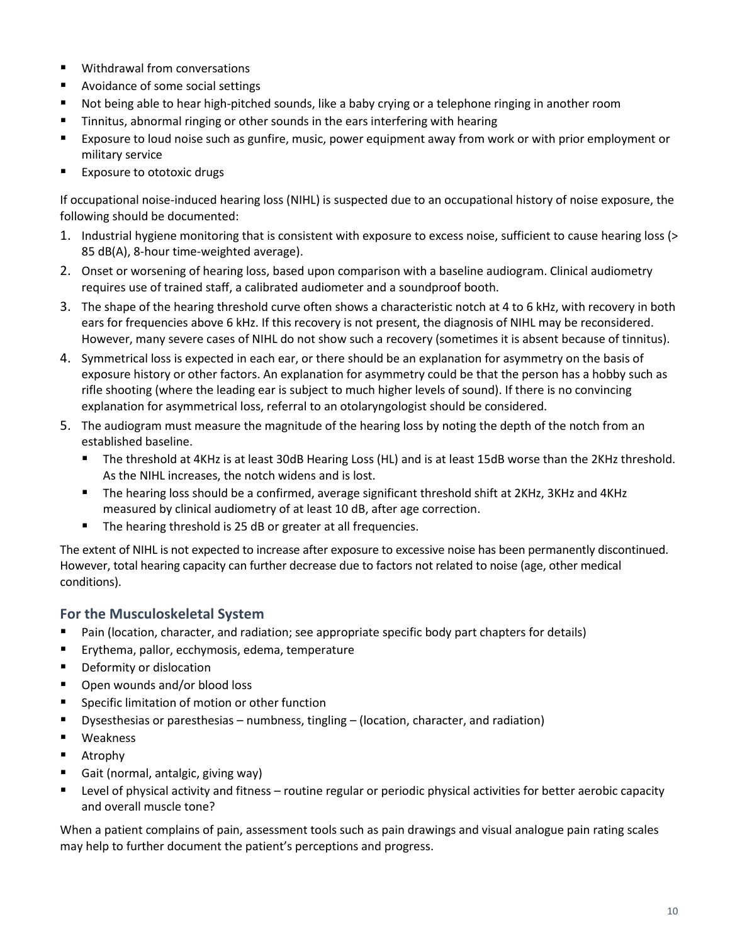- Withdrawal from conversations
- Avoidance of some social settings
- Not being able to hear high-pitched sounds, like a baby crying or a telephone ringing in another room
- Tinnitus, abnormal ringing or other sounds in the ears interfering with hearing
- Exposure to loud noise such as gunfire, music, power equipment away from work or with prior employment or military service
- Exposure to ototoxic drugs

If occupational noise-induced hearing loss (NIHL) is suspected due to an occupational history of noise exposure, the following should be documented:

- 1. Industrial hygiene monitoring that is consistent with exposure to excess noise, sufficient to cause hearing loss (> 85 dB(A), 8-hour time-weighted average).
- 2. Onset or worsening of hearing loss, based upon comparison with a baseline audiogram. Clinical audiometry requires use of trained staff, a calibrated audiometer and a soundproof booth.
- 3. The shape of the hearing threshold curve often shows a characteristic notch at 4 to 6 kHz, with recovery in both ears for frequencies above 6 kHz. If this recovery is not present, the diagnosis of NIHL may be reconsidered. However, many severe cases of NIHL do not show such a recovery (sometimes it is absent because of tinnitus).
- 4. Symmetrical loss is expected in each ear, or there should be an explanation for asymmetry on the basis of exposure history or other factors. An explanation for asymmetry could be that the person has a hobby such as rifle shooting (where the leading ear is subject to much higher levels of sound). If there is no convincing explanation for asymmetrical loss, referral to an otolaryngologist should be considered.
- 5. The audiogram must measure the magnitude of the hearing loss by noting the depth of the notch from an established baseline.
	- The threshold at 4KHz is at least 30dB Hearing Loss (HL) and is at least 15dB worse than the 2KHz threshold. As the NIHL increases, the notch widens and is lost.
	- The hearing loss should be a confirmed, average significant threshold shift at 2KHz, 3KHz and 4KHz measured by clinical audiometry of at least 10 dB, after age correction.
	- The hearing threshold is 25 dB or greater at all frequencies.

The extent of NIHL is not expected to increase after exposure to excessive noise has been permanently discontinued. However, total hearing capacity can further decrease due to factors not related to noise (age, other medical conditions).

#### **For the Musculoskeletal System**

- Pain (location, character, and radiation; see appropriate specific body part chapters for details)
- Erythema, pallor, ecchymosis, edema, temperature
- Deformity or dislocation
- Open wounds and/or blood loss
- Specific limitation of motion or other function
- Dysesthesias or paresthesias numbness, tingling (location, character, and radiation)
- Weakness
- Atrophy
- Gait (normal, antalgic, giving way)
- Level of physical activity and fitness routine regular or periodic physical activities for better aerobic capacity and overall muscle tone?

When a patient complains of pain, assessment tools such as pain drawings and visual analogue pain rating scales may help to further document the patient's perceptions and progress.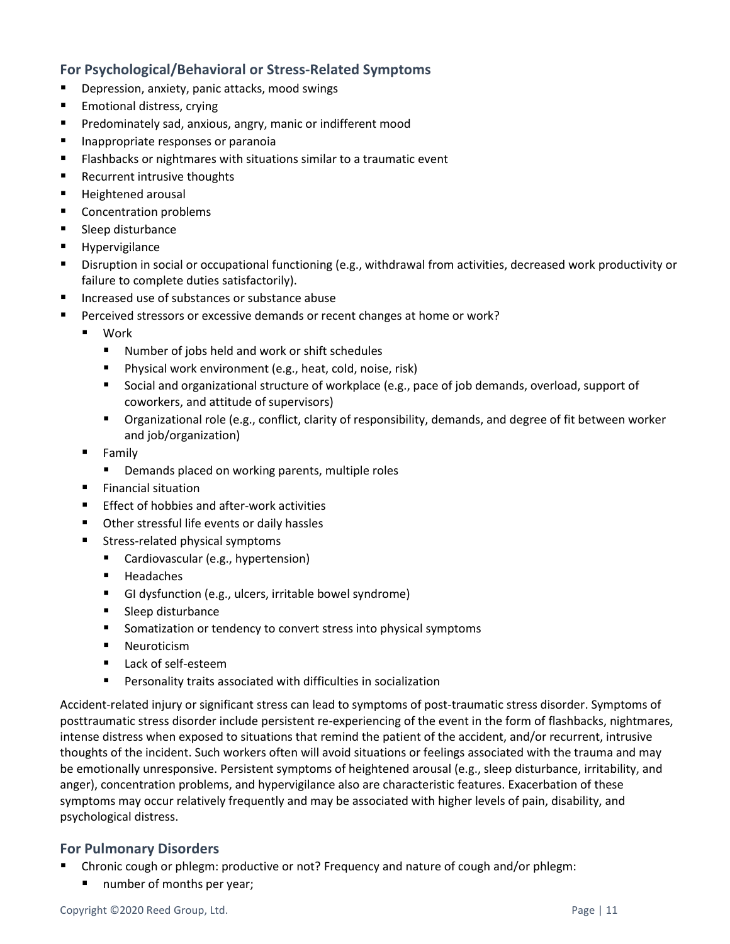#### **For Psychological/Behavioral or Stress-Related Symptoms**

- Depression, anxiety, panic attacks, mood swings
- Emotional distress, crying
- Predominately sad, anxious, angry, manic or indifferent mood
- Inappropriate responses or paranoia
- Flashbacks or nightmares with situations similar to a traumatic event
- Recurrent intrusive thoughts
- Heightened arousal
- Concentration problems
- Sleep disturbance
- **Hypervigilance**
- Disruption in social or occupational functioning (e.g., withdrawal from activities, decreased work productivity or failure to complete duties satisfactorily).
- Increased use of substances or substance abuse
- Perceived stressors or excessive demands or recent changes at home or work?
	- Work
		- Number of jobs held and work or shift schedules
		- Physical work environment (e.g., heat, cold, noise, risk)
		- Social and organizational structure of workplace (e.g., pace of job demands, overload, support of coworkers, and attitude of supervisors)
		- Organizational role (e.g., conflict, clarity of responsibility, demands, and degree of fit between worker and job/organization)
	- Family
		- Demands placed on working parents, multiple roles
	- **Einancial situation**
	- Effect of hobbies and after-work activities
	- Other stressful life events or daily hassles
	- Stress-related physical symptoms
		- Cardiovascular (e.g., hypertension)
		- Headaches
		- GI dysfunction (e.g., ulcers, irritable bowel syndrome)
		- Sleep disturbance
		- Somatization or tendency to convert stress into physical symptoms
		- **Neuroticism**
		- Lack of self-esteem
		- Personality traits associated with difficulties in socialization

Accident-related injury or significant stress can lead to symptoms of post-traumatic stress disorder. Symptoms of posttraumatic stress disorder include persistent re-experiencing of the event in the form of flashbacks, nightmares, intense distress when exposed to situations that remind the patient of the accident, and/or recurrent, intrusive thoughts of the incident. Such workers often will avoid situations or feelings associated with the trauma and may be emotionally unresponsive. Persistent symptoms of heightened arousal (e.g., sleep disturbance, irritability, and anger), concentration problems, and hypervigilance also are characteristic features. Exacerbation of these symptoms may occur relatively frequently and may be associated with higher levels of pain, disability, and psychological distress.

#### **For Pulmonary Disorders**

- Chronic cough or phlegm: productive or not? Frequency and nature of cough and/or phlegm:
	- number of months per year;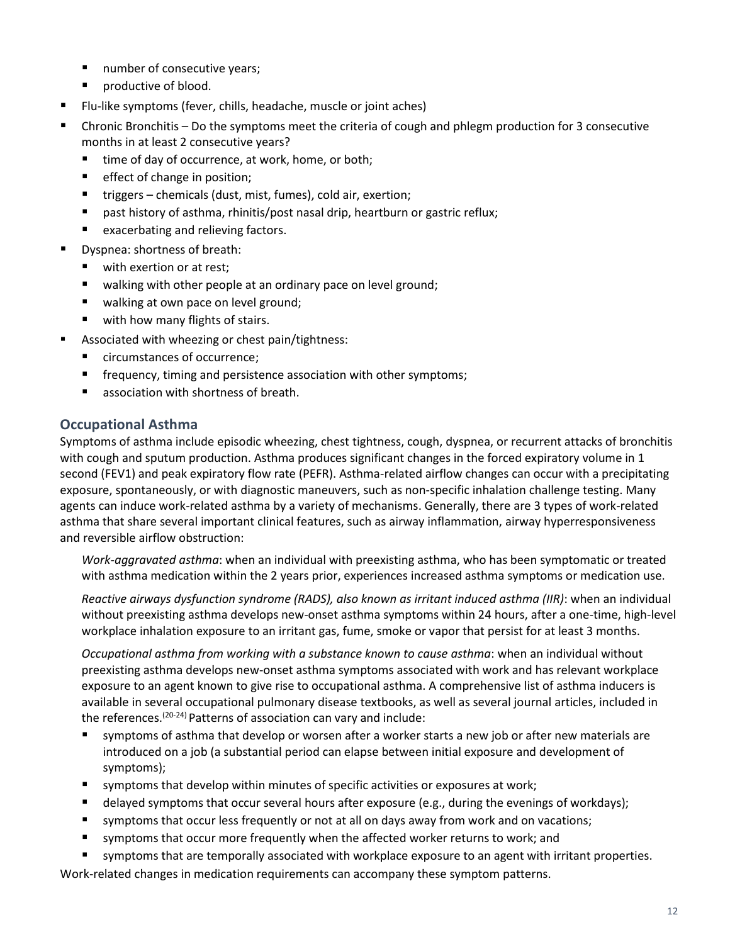- number of consecutive years;
- productive of blood.
- Flu-like symptoms (fever, chills, headache, muscle or joint aches)
- Chronic Bronchitis Do the symptoms meet the criteria of cough and phlegm production for 3 consecutive months in at least 2 consecutive years?
	- time of day of occurrence, at work, home, or both;
	- effect of change in position;
	- triggers chemicals (dust, mist, fumes), cold air, exertion;
	- past history of asthma, rhinitis/post nasal drip, heartburn or gastric reflux;
	- exacerbating and relieving factors.
- Dyspnea: shortness of breath:
	- with exertion or at rest;
	- walking with other people at an ordinary pace on level ground;
	- walking at own pace on level ground;
	- with how many flights of stairs.
- Associated with wheezing or chest pain/tightness:
	- circumstances of occurrence;
	- frequency, timing and persistence association with other symptoms;
	- association with shortness of breath.

#### **Occupational Asthma**

Symptoms of asthma include episodic wheezing, chest tightness, cough, dyspnea, or recurrent attacks of bronchitis with cough and sputum production. Asthma produces significant changes in the forced expiratory volume in 1 second (FEV1) and peak expiratory flow rate (PEFR). Asthma-related airflow changes can occur with a precipitating exposure, spontaneously, or with diagnostic maneuvers, such as non-specific inhalation challenge testing. Many agents can induce work-related asthma by a variety of mechanisms. Generally, there are 3 types of work-related asthma that share several important clinical features, such as airway inflammation, airway hyperresponsiveness and reversible airflow obstruction:

*Work-aggravated asthma*: when an individual with preexisting asthma, who has been symptomatic or treated with asthma medication within the 2 years prior, experiences increased asthma symptoms or medication use.

*Reactive airways dysfunction syndrome (RADS), also known as irritant induced asthma (IIR)*: when an individual without preexisting asthma develops new-onset asthma symptoms within 24 hours, after a one-time, high-level workplace inhalation exposure to an irritant gas, fume, smoke or vapor that persist for at least 3 months.

*Occupational asthma from working with a substance known to cause asthma*: when an individual without preexisting asthma develops new-onset asthma symptoms associated with work and has relevant workplace exposure to an agent known to give rise to occupational asthma. A comprehensive list of asthma inducers is available in several occupational pulmonary disease textbooks, as well as several journal articles, included in the references.<sup>(20-24)</sup> Patterns of association can vary and include:

- symptoms of asthma that develop or worsen after a worker starts a new job or after new materials are introduced on a job (a substantial period can elapse between initial exposure and development of symptoms);
- symptoms that develop within minutes of specific activities or exposures at work;
- delayed symptoms that occur several hours after exposure (e.g., during the evenings of workdays);
- symptoms that occur less frequently or not at all on days away from work and on vacations;
- **E** symptoms that occur more frequently when the affected worker returns to work; and
- symptoms that are temporally associated with workplace exposure to an agent with irritant properties.

Work-related changes in medication requirements can accompany these symptom patterns.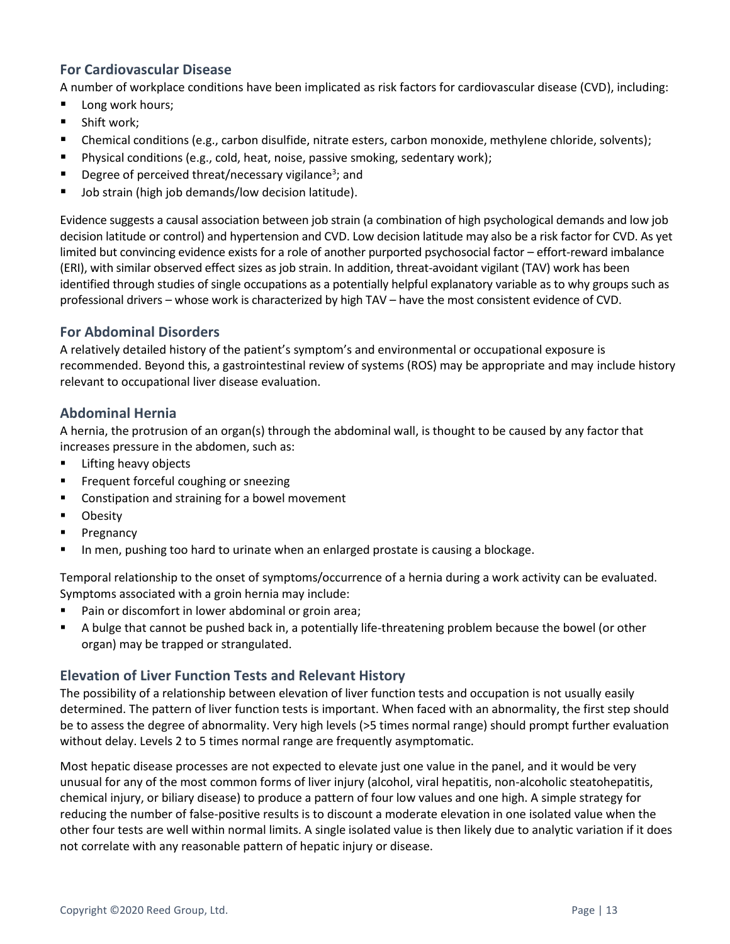#### **For Cardiovascular Disease**

A number of workplace conditions have been implicated as risk factors for cardiovascular disease (CVD), including:

- Long work hours;
- Shift work;
- Chemical conditions (e.g., carbon disulfide, nitrate esters, carbon monoxide, methylene chloride, solvents);
- Physical conditions (e.g., cold, heat, noise, passive smoking, sedentary work);
- **•** Degree of perceived threat/necessary vigilance<sup>3</sup>; and
- Job strain (high job demands/low decision latitude).

Evidence suggests a causal association between job strain (a combination of high psychological demands and low job decision latitude or control) and hypertension and CVD. Low decision latitude may also be a risk factor for CVD. As yet limited but convincing evidence exists for a role of another purported psychosocial factor – effort-reward imbalance (ERI), with similar observed effect sizes as job strain. In addition, threat-avoidant vigilant (TAV) work has been identified through studies of single occupations as a potentially helpful explanatory variable as to why groups such as professional drivers – whose work is characterized by high TAV – have the most consistent evidence of CVD.

#### **For Abdominal Disorders**

A relatively detailed history of the patient's symptom's and environmental or occupational exposure is recommended. Beyond this, a gastrointestinal review of systems (ROS) may be appropriate and may include history relevant to occupational liver disease evaluation.

#### **Abdominal Hernia**

A hernia, the protrusion of an organ(s) through the abdominal wall, is thought to be caused by any factor that increases pressure in the abdomen, such as:

- Lifting heavy objects
- Frequent forceful coughing or sneezing
- Constipation and straining for a bowel movement
- Obesity
- Pregnancy
- In men, pushing too hard to urinate when an enlarged prostate is causing a blockage.

Temporal relationship to the onset of symptoms/occurrence of a hernia during a work activity can be evaluated. Symptoms associated with a groin hernia may include:

- Pain or discomfort in lower abdominal or groin area;
- A bulge that cannot be pushed back in, a potentially life-threatening problem because the bowel (or other organ) may be trapped or strangulated.

#### **Elevation of Liver Function Tests and Relevant History**

The possibility of a relationship between elevation of liver function tests and occupation is not usually easily determined. The pattern of liver function tests is important. When faced with an abnormality, the first step should be to assess the degree of abnormality. Very high levels (>5 times normal range) should prompt further evaluation without delay. Levels 2 to 5 times normal range are frequently asymptomatic.

Most hepatic disease processes are not expected to elevate just one value in the panel, and it would be very unusual for any of the most common forms of liver injury (alcohol, viral hepatitis, non-alcoholic steatohepatitis, chemical injury, or biliary disease) to produce a pattern of four low values and one high. A simple strategy for reducing the number of false-positive results is to discount a moderate elevation in one isolated value when the other four tests are well within normal limits. A single isolated value is then likely due to analytic variation if it does not correlate with any reasonable pattern of hepatic injury or disease.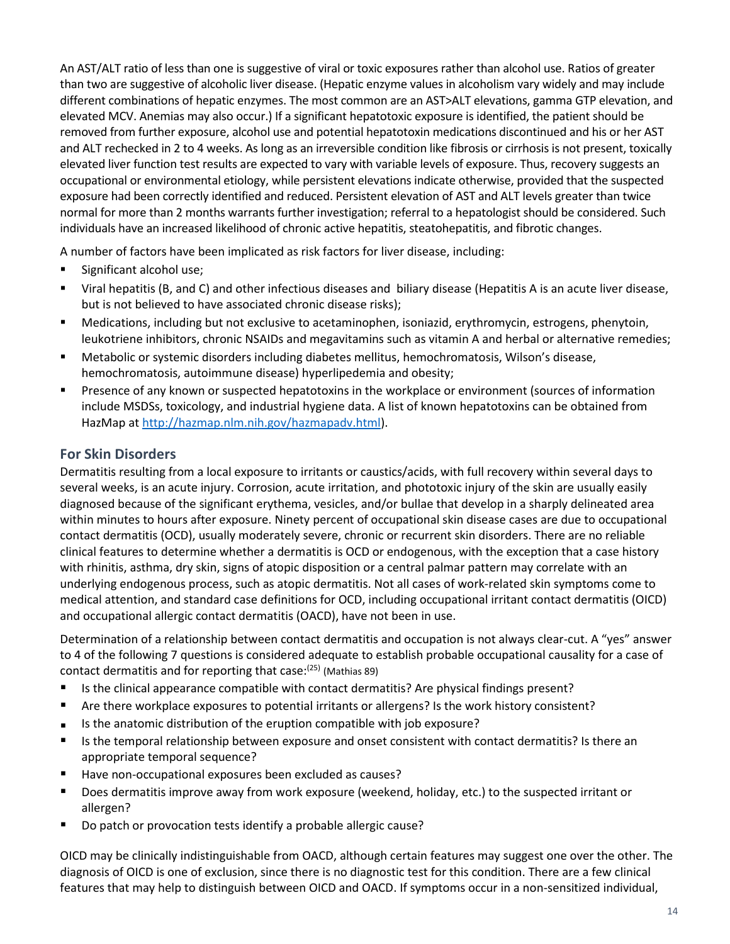An AST/ALT ratio of less than one is suggestive of viral or toxic exposures rather than alcohol use. Ratios of greater than two are suggestive of alcoholic liver disease. (Hepatic enzyme values in alcoholism vary widely and may include different combinations of hepatic enzymes. The most common are an AST>ALT elevations, gamma GTP elevation, and elevated MCV. Anemias may also occur.) If a significant hepatotoxic exposure is identified, the patient should be removed from further exposure, alcohol use and potential hepatotoxin medications discontinued and his or her AST and ALT rechecked in 2 to 4 weeks. As long as an irreversible condition like fibrosis or cirrhosis is not present, toxically elevated liver function test results are expected to vary with variable levels of exposure. Thus, recovery suggests an occupational or environmental etiology, while persistent elevations indicate otherwise, provided that the suspected exposure had been correctly identified and reduced. Persistent elevation of AST and ALT levels greater than twice normal for more than 2 months warrants further investigation; referral to a hepatologist should be considered. Such individuals have an increased likelihood of chronic active hepatitis, steatohepatitis, and fibrotic changes.

A number of factors have been implicated as risk factors for liver disease, including:

- Significant alcohol use;
- Viral hepatitis (B, and C) and other infectious diseases and biliary disease (Hepatitis A is an acute liver disease, but is not believed to have associated chronic disease risks);
- Medications, including but not exclusive to acetaminophen, isoniazid, erythromycin, estrogens, phenytoin, leukotriene inhibitors, chronic NSAIDs and megavitamins such as vitamin A and herbal or alternative remedies;
- Metabolic or systemic disorders including diabetes mellitus, hemochromatosis, Wilson's disease, hemochromatosis, autoimmune disease) hyperlipedemia and obesity;
- Presence of any known or suspected hepatotoxins in the workplace or environment (sources of information include MSDSs, toxicology, and industrial hygiene data. A list of known hepatotoxins can be obtained from HazMap at [http://hazmap.nlm.nih.gov/hazmapadv.html\)](http://hazmap.nlm.nih.gov/hazmapadv.html).

#### **For Skin Disorders**

Dermatitis resulting from a local exposure to irritants or caustics/acids, with full recovery within several days to several weeks, is an acute injury. Corrosion, acute irritation, and phototoxic injury of the skin are usually easily diagnosed because of the significant erythema, vesicles, and/or bullae that develop in a sharply delineated area within minutes to hours after exposure. Ninety percent of occupational skin disease cases are due to occupational contact dermatitis (OCD), usually moderately severe, chronic or recurrent skin disorders. There are no reliable clinical features to determine whether a dermatitis is OCD or endogenous, with the exception that a case history with rhinitis, asthma, dry skin, signs of atopic disposition or a central palmar pattern may correlate with an underlying endogenous process, such as atopic dermatitis. Not all cases of work-related skin symptoms come to medical attention, and standard case definitions for OCD, including occupational irritant contact dermatitis (OICD) and occupational allergic contact dermatitis (OACD), have not been in use.

Determination of a relationship between contact dermatitis and occupation is not always clear-cut. A "yes" answer to 4 of the following 7 questions is considered adequate to establish probable occupational causality for a case of contact dermatitis and for reporting that case: $(25)$  (Mathias 89)

- Is the clinical appearance compatible with contact dermatitis? Are physical findings present?
- Are there workplace exposures to potential irritants or allergens? Is the work history consistent?
- Is the anatomic distribution of the eruption compatible with job exposure?
- Is the temporal relationship between exposure and onset consistent with contact dermatitis? Is there an appropriate temporal sequence?
- Have non-occupational exposures been excluded as causes?
- Does dermatitis improve away from work exposure (weekend, holiday, etc.) to the suspected irritant or allergen?
- Do patch or provocation tests identify a probable allergic cause?

OICD may be clinically indistinguishable from OACD, although certain features may suggest one over the other. The diagnosis of OICD is one of exclusion, since there is no diagnostic test for this condition. There are a few clinical features that may help to distinguish between OICD and OACD. If symptoms occur in a non-sensitized individual,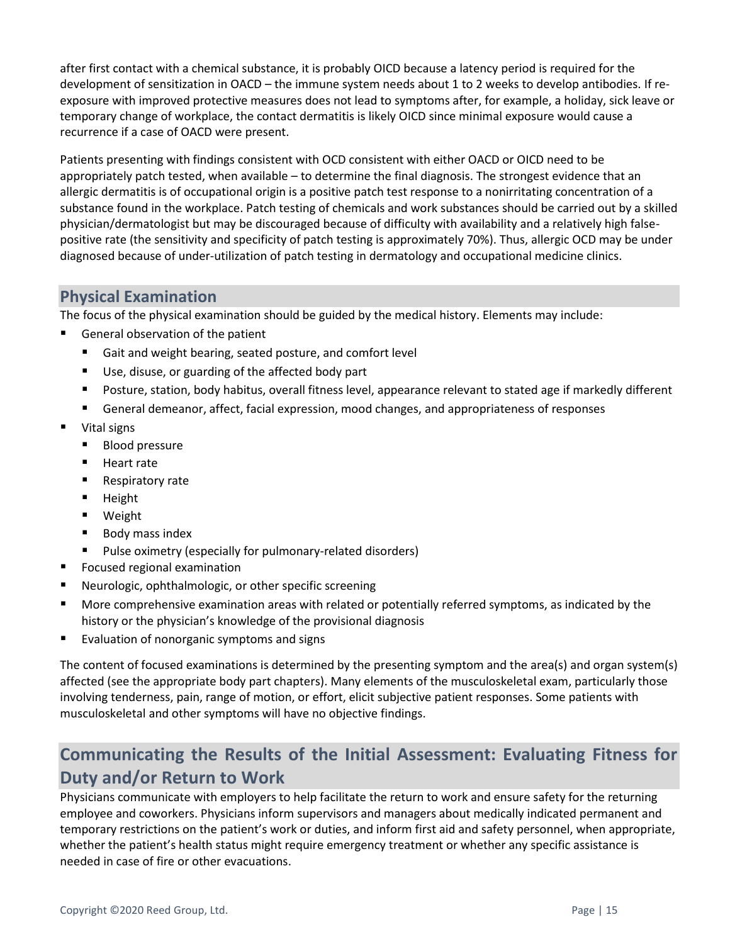after first contact with a chemical substance, it is probably OICD because a latency period is required for the development of sensitization in OACD – the immune system needs about 1 to 2 weeks to develop antibodies. If reexposure with improved protective measures does not lead to symptoms after, for example, a holiday, sick leave or temporary change of workplace, the contact dermatitis is likely OICD since minimal exposure would cause a recurrence if a case of OACD were present.

Patients presenting with findings consistent with OCD consistent with either OACD or OICD need to be appropriately patch tested, when available – to determine the final diagnosis. The strongest evidence that an allergic dermatitis is of occupational origin is a positive patch test response to a nonirritating concentration of a substance found in the workplace. Patch testing of chemicals and work substances should be carried out by a skilled physician/dermatologist but may be discouraged because of difficulty with availability and a relatively high falsepositive rate (the sensitivity and specificity of patch testing is approximately 70%). Thus, allergic OCD may be under diagnosed because of under-utilization of patch testing in dermatology and occupational medicine clinics.

# <span id="page-14-0"></span>**Physical Examination**

The focus of the physical examination should be guided by the medical history. Elements may include:

- General observation of the patient
	- Gait and weight bearing, seated posture, and comfort level
	- Use, disuse, or guarding of the affected body part
	- Posture, station, body habitus, overall fitness level, appearance relevant to stated age if markedly different
	- General demeanor, affect, facial expression, mood changes, and appropriateness of responses
- Vital signs
	- Blood pressure
	- Heart rate
	- Respiratory rate
	- Height
	- Weight
	- Body mass index
	- Pulse oximetry (especially for pulmonary-related disorders)
- Focused regional examination
- Neurologic, ophthalmologic, or other specific screening
- More comprehensive examination areas with related or potentially referred symptoms, as indicated by the history or the physician's knowledge of the provisional diagnosis
- Evaluation of nonorganic symptoms and signs

The content of focused examinations is determined by the presenting symptom and the area(s) and organ system(s) affected (see the appropriate body part chapters). Many elements of the musculoskeletal exam, particularly those involving tenderness, pain, range of motion, or effort, elicit subjective patient responses. Some patients with musculoskeletal and other symptoms will have no objective findings.

# <span id="page-14-1"></span>**Communicating the Results of the Initial Assessment: Evaluating Fitness for Duty and/or Return to Work**

Physicians communicate with employers to help facilitate the return to work and ensure safety for the returning employee and coworkers. Physicians inform supervisors and managers about medically indicated permanent and temporary restrictions on the patient's work or duties, and inform first aid and safety personnel, when appropriate, whether the patient's health status might require emergency treatment or whether any specific assistance is needed in case of fire or other evacuations.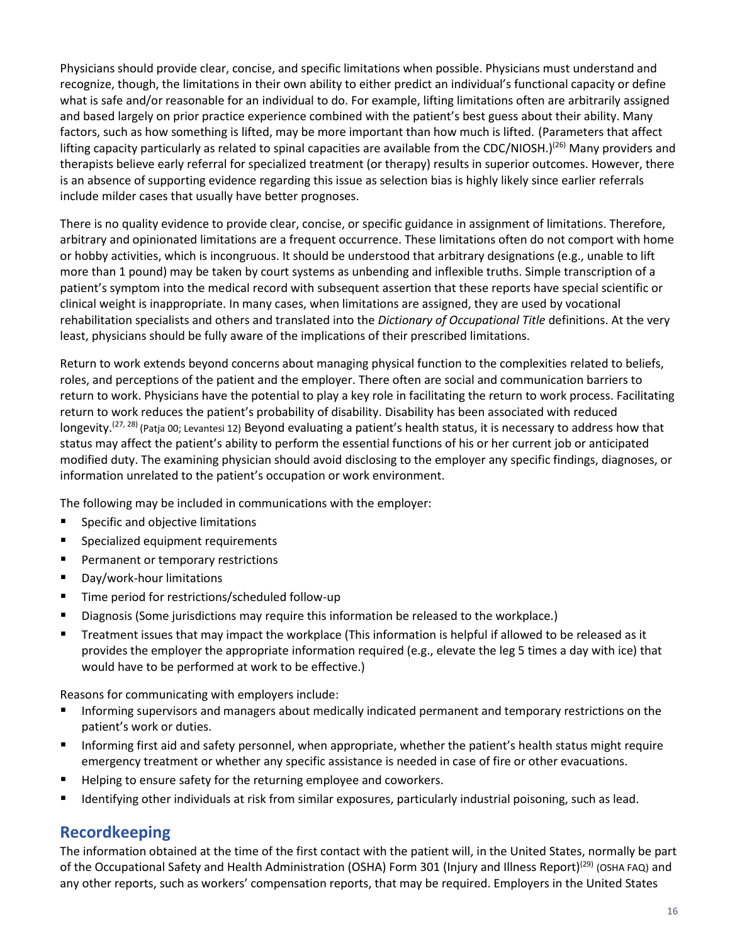Physicians should provide clear, concise, and specific limitations when possible. Physicians must understand and recognize, though, the limitations in their own ability to either predict an individual's functional capacity or define what is safe and/or reasonable for an individual to do. For example, lifting limitations often are arbitrarily assigned and based largely on prior practice experience combined with the patient's best guess about their ability. Many factors, such as how something is lifted, may be more important than how much is lifted. (Parameters that affect lifting capacity particularly as related to spinal capacities are available from the CDC/NIOSH.)<sup>(26)</sup> Many providers and therapists believe early referral for specialized treatment (or therapy) results in superior outcomes. However, there is an absence of supporting evidence regarding this issue as selection bias is highly likely since earlier referrals include milder cases that usually have better prognoses.

There is no quality evidence to provide clear, concise, or specific guidance in assignment of limitations. Therefore, arbitrary and opinionated limitations are a frequent occurrence. These limitations often do not comport with home or hobby activities, which is incongruous. It should be understood that arbitrary designations (e.g., unable to lift more than 1 pound) may be taken by court systems as unbending and inflexible truths. Simple transcription of a patient's symptom into the medical record with subsequent assertion that these reports have special scientific or clinical weight is inappropriate. In many cases, when limitations are assigned, they are used by vocational rehabilitation specialists and others and translated into the *Dictionary of Occupational Title* definitions. At the very least, physicians should be fully aware of the implications of their prescribed limitations.

Return to work extends beyond concerns about managing physical function to the complexities related to beliefs, roles, and perceptions of the patient and the employer. There often are social and communication barriers to return to work. Physicians have the potential to play a key role in facilitating the return to work process. Facilitating return to work reduces the patient's probability of disability. Disability has been associated with reduced longevity.<sup>(27, 28)</sup> (Patja 00; Levantesi 12) Beyond evaluating a patient's health status, it is necessary to address how that status may affect the patient's ability to perform the essential functions of his or her current job or anticipated modified duty. The examining physician should avoid disclosing to the employer any specific findings, diagnoses, or information unrelated to the patient's occupation or work environment.

The following may be included in communications with the employer:

- Specific and objective limitations
- Specialized equipment requirements
- Permanent or temporary restrictions
- Day/work-hour limitations
- Time period for restrictions/scheduled follow-up
- Diagnosis (Some jurisdictions may require this information be released to the workplace.)
- Treatment issues that may impact the workplace (This information is helpful if allowed to be released as it provides the employer the appropriate information required (e.g., elevate the leg 5 times a day with ice) that would have to be performed at work to be effective.)

Reasons for communicating with employers include:

- Informing supervisors and managers about medically indicated permanent and temporary restrictions on the patient's work or duties.
- Informing first aid and safety personnel, when appropriate, whether the patient's health status might require emergency treatment or whether any specific assistance is needed in case of fire or other evacuations.
- Helping to ensure safety for the returning employee and coworkers.
- <span id="page-15-0"></span>■ Identifying other individuals at risk from similar exposures, particularly industrial poisoning, such as lead.

# **Recordkeeping**

The information obtained at the time of the first contact with the patient will, in the United States, normally be part of the Occupational Safety and Health Administration (OSHA) Form 301 (Injury and Illness Report)(29) (OSHA FAQ) and any other reports, such as workers' compensation reports, that may be required. Employers in the United States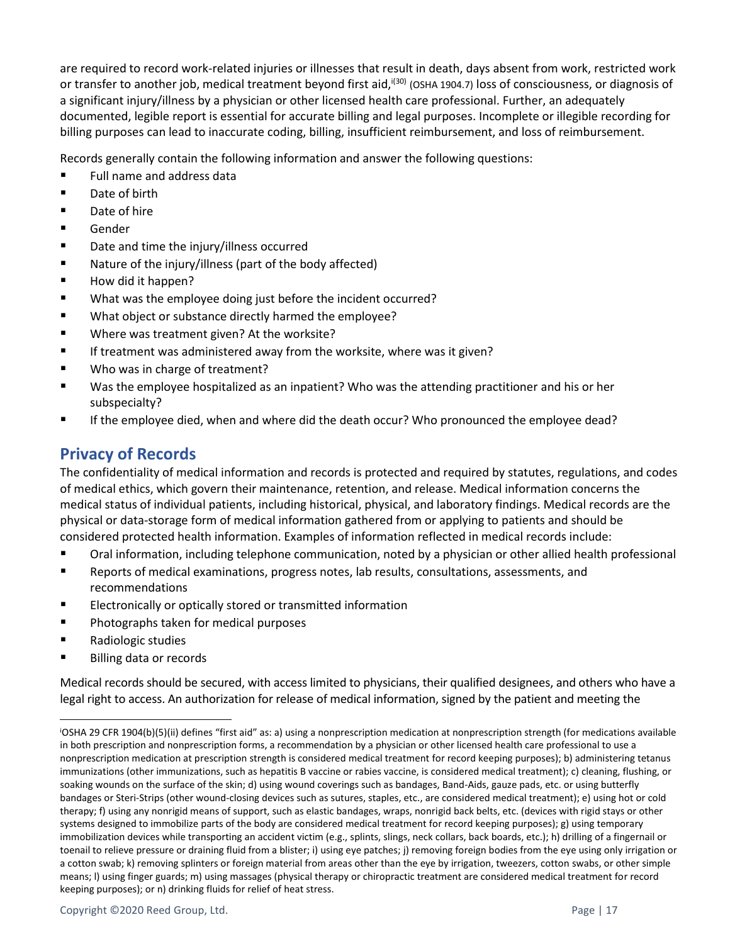are required to record work-related injuries or illnesses that result in death, days absent from work, restricted work or transfer to another job, medical treatment beyond first aid,<sup>i(30)</sup> (OSHA 1904.7) loss of consciousness, or diagnosis of a significant injury/illness by a physician or other licensed health care professional. Further, an adequately documented, legible report is essential for accurate billing and legal purposes. Incomplete or illegible recording for billing purposes can lead to inaccurate coding, billing, insufficient reimbursement, and loss of reimbursement.

Records generally contain the following information and answer the following questions:

- Full name and address data
- Date of birth
- Date of hire
- **Gender**
- Date and time the injury/illness occurred
- Nature of the injury/illness (part of the body affected)
- How did it happen?
- What was the employee doing just before the incident occurred?
- What object or substance directly harmed the employee?
- Where was treatment given? At the worksite?
- If treatment was administered away from the worksite, where was it given?
- Who was in charge of treatment?
- Was the employee hospitalized as an inpatient? Who was the attending practitioner and his or her subspecialty?
- <span id="page-16-0"></span>If the employee died, when and where did the death occur? Who pronounced the employee dead?

# **Privacy of Records**

The confidentiality of medical information and records is protected and required by statutes, regulations, and codes of medical ethics, which govern their maintenance, retention, and release. Medical information concerns the medical status of individual patients, including historical, physical, and laboratory findings. Medical records are the physical or data-storage form of medical information gathered from or applying to patients and should be considered protected health information. Examples of information reflected in medical records include:

- Oral information, including telephone communication, noted by a physician or other allied health professional
- Reports of medical examinations, progress notes, lab results, consultations, assessments, and recommendations
- Electronically or optically stored or transmitted information
- Photographs taken for medical purposes
- Radiologic studies
- **Billing data or records**

Medical records should be secured, with access limited to physicians, their qualified designees, and others who have a legal right to access. An authorization for release of medical information, signed by the patient and meeting the

<sup>i</sup>OSHA 29 CFR 1904(b)(5)(ii) defines "first aid" as: a) using a nonprescription medication at nonprescription strength (for medications available in both prescription and nonprescription forms, a recommendation by a physician or other licensed health care professional to use a nonprescription medication at prescription strength is considered medical treatment for record keeping purposes); b) administering tetanus immunizations (other immunizations, such as hepatitis B vaccine or rabies vaccine, is considered medical treatment); c) cleaning, flushing, or soaking wounds on the surface of the skin; d) using wound coverings such as bandages, Band-Aids, gauze pads, etc. or using butterfly bandages or Steri-Strips (other wound-closing devices such as sutures, staples, etc., are considered medical treatment); e) using hot or cold therapy; f) using any nonrigid means of support, such as elastic bandages, wraps, nonrigid back belts, etc. (devices with rigid stays or other systems designed to immobilize parts of the body are considered medical treatment for record keeping purposes); g) using temporary immobilization devices while transporting an accident victim (e.g., splints, slings, neck collars, back boards, etc.); h) drilling of a fingernail or toenail to relieve pressure or draining fluid from a blister; i) using eye patches; j) removing foreign bodies from the eye using only irrigation or a cotton swab; k) removing splinters or foreign material from areas other than the eye by irrigation, tweezers, cotton swabs, or other simple means; l) using finger guards; m) using massages (physical therapy or chiropractic treatment are considered medical treatment for record keeping purposes); or n) drinking fluids for relief of heat stress.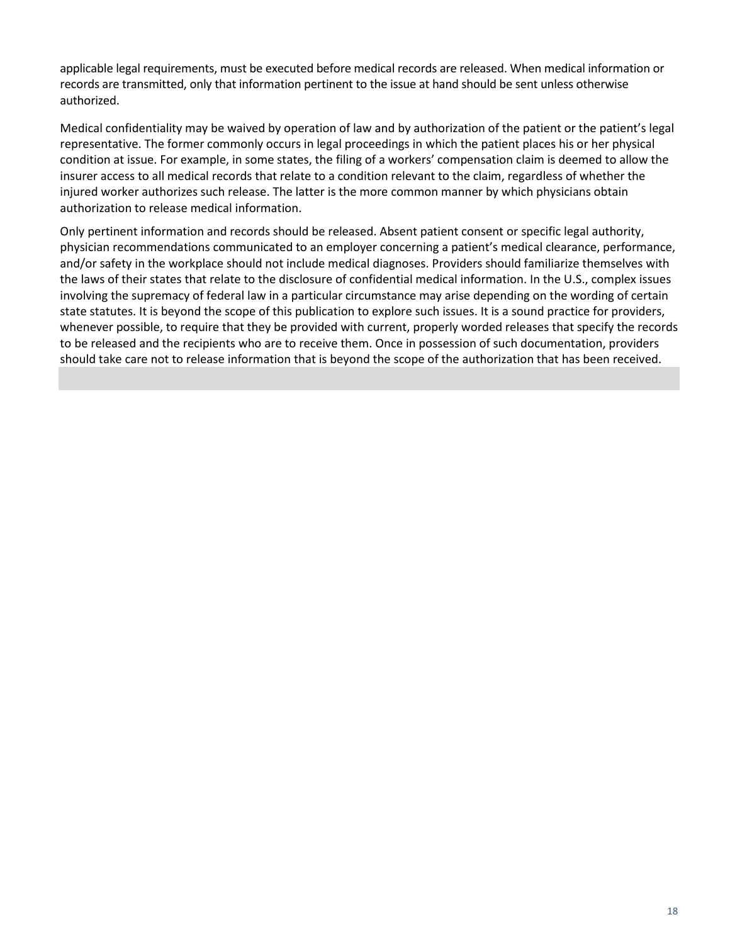applicable legal requirements, must be executed before medical records are released. When medical information or records are transmitted, only that information pertinent to the issue at hand should be sent unless otherwise authorized.

Medical confidentiality may be waived by operation of law and by authorization of the patient or the patient's legal representative. The former commonly occurs in legal proceedings in which the patient places his or her physical condition at issue. For example, in some states, the filing of a workers' compensation claim is deemed to allow the insurer access to all medical records that relate to a condition relevant to the claim, regardless of whether the injured worker authorizes such release. The latter is the more common manner by which physicians obtain authorization to release medical information.

Only pertinent information and records should be released. Absent patient consent or specific legal authority, physician recommendations communicated to an employer concerning a patient's medical clearance, performance, and/or safety in the workplace should not include medical diagnoses. Providers should familiarize themselves with the laws of their states that relate to the disclosure of confidential medical information. In the U.S., complex issues involving the supremacy of federal law in a particular circumstance may arise depending on the wording of certain state statutes. It is beyond the scope of this publication to explore such issues. It is a sound practice for providers, whenever possible, to require that they be provided with current, properly worded releases that specify the records to be released and the recipients who are to receive them. Once in possession of such documentation, providers should take care not to release information that is beyond the scope of the authorization that has been received.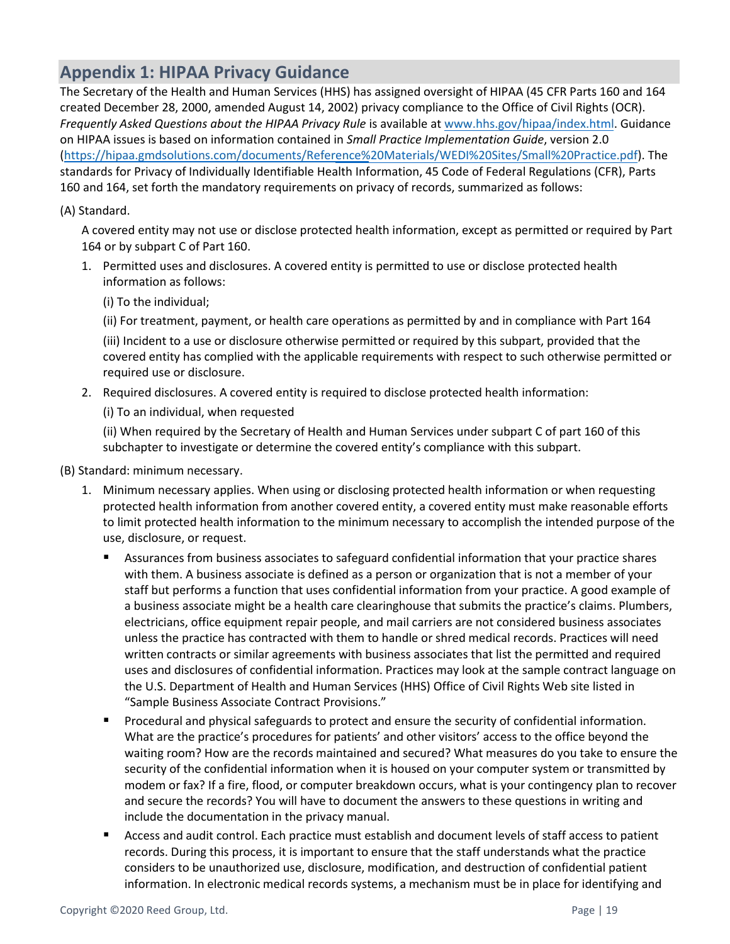# <span id="page-18-0"></span>**Appendix 1: HIPAA Privacy Guidance**

The Secretary of the Health and Human Services (HHS) has assigned oversight of HIPAA (45 CFR Parts 160 and 164 created December 28, 2000, amended August 14, 2002) privacy compliance to the Office of Civil Rights (OCR). *Frequently Asked Questions about the HIPAA Privacy Rule* is available a[t www.hhs.gov/hipaa/](https://www.hhs.gov/hipaa/index.html)index.html. Guidance on HIPAA issues is based on information contained in *Small Practice Implementation Guide*, version 2.0 ([https://hipaa.gmdsolutions.com/documents/Reference%20Materials/WEDI%20Sites/Small%20Practice](https://hipaa.gmdsolutions.com/documents/Reference%20Materials/WEDI%20Sites/Small%20Practice.pdf).pdf). The standards for Privacy of Individually Identifiable Health Information, 45 Code of Federal Regulations (CFR), Parts 160 and 164, set forth the mandatory requirements on privacy of records, summarized as follows:

#### (A) Standard.

A covered entity may not use or disclose protected health information, except as permitted or required by Part 164 or by subpart C of Part 160.

- 1. Permitted uses and disclosures. A covered entity is permitted to use or disclose protected health information as follows:
	- (i) To the individual;

(ii) For treatment, payment, or health care operations as permitted by and in compliance with Part 164

(iii) Incident to a use or disclosure otherwise permitted or required by this subpart, provided that the covered entity has complied with the applicable requirements with respect to such otherwise permitted or required use or disclosure.

2. Required disclosures. A covered entity is required to disclose protected health information:

(i) To an individual, when requested

(ii) When required by the Secretary of Health and Human Services under subpart C of part 160 of this subchapter to investigate or determine the covered entity's compliance with this subpart.

#### (B) Standard: minimum necessary.

- 1. Minimum necessary applies. When using or disclosing protected health information or when requesting protected health information from another covered entity, a covered entity must make reasonable efforts to limit protected health information to the minimum necessary to accomplish the intended purpose of the use, disclosure, or request.
	- Assurances from business associates to safeguard confidential information that your practice shares with them. A business associate is defined as a person or organization that is not a member of your staff but performs a function that uses confidential information from your practice. A good example of a business associate might be a health care clearinghouse that submits the practice's claims. Plumbers, electricians, office equipment repair people, and mail carriers are not considered business associates unless the practice has contracted with them to handle or shred medical records. Practices will need written contracts or similar agreements with business associates that list the permitted and required uses and disclosures of confidential information. Practices may look at the sample contract language on the U.S. Department of Health and Human Services (HHS) Office of Civil Rights Web site listed in "Sample Business Associate Contract Provisions."
	- Procedural and physical safeguards to protect and ensure the security of confidential information. What are the practice's procedures for patients' and other visitors' access to the office beyond the waiting room? How are the records maintained and secured? What measures do you take to ensure the security of the confidential information when it is housed on your computer system or transmitted by modem or fax? If a fire, flood, or computer breakdown occurs, what is your contingency plan to recover and secure the records? You will have to document the answers to these questions in writing and include the documentation in the privacy manual.
	- Access and audit control. Each practice must establish and document levels of staff access to patient records. During this process, it is important to ensure that the staff understands what the practice considers to be unauthorized use, disclosure, modification, and destruction of confidential patient information. In electronic medical records systems, a mechanism must be in place for identifying and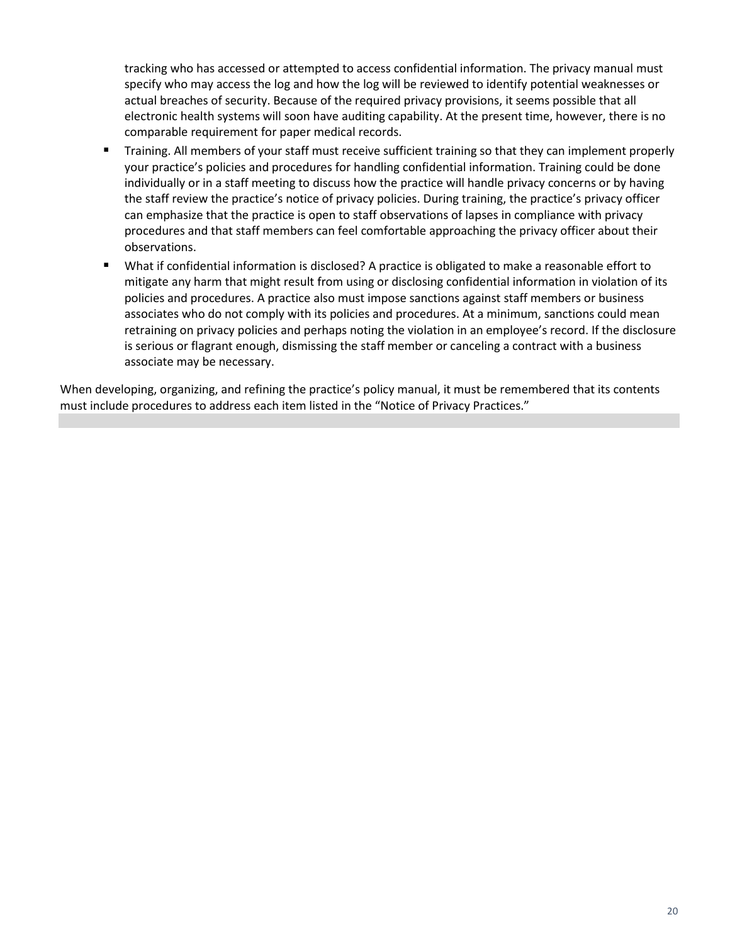tracking who has accessed or attempted to access confidential information. The privacy manual must specify who may access the log and how the log will be reviewed to identify potential weaknesses or actual breaches of security. Because of the required privacy provisions, it seems possible that all electronic health systems will soon have auditing capability. At the present time, however, there is no comparable requirement for paper medical records.

- Training. All members of your staff must receive sufficient training so that they can implement properly your practice's policies and procedures for handling confidential information. Training could be done individually or in a staff meeting to discuss how the practice will handle privacy concerns or by having the staff review the practice's notice of privacy policies. During training, the practice's privacy officer can emphasize that the practice is open to staff observations of lapses in compliance with privacy procedures and that staff members can feel comfortable approaching the privacy officer about their observations.
- What if confidential information is disclosed? A practice is obligated to make a reasonable effort to mitigate any harm that might result from using or disclosing confidential information in violation of its policies and procedures. A practice also must impose sanctions against staff members or business associates who do not comply with its policies and procedures. At a minimum, sanctions could mean retraining on privacy policies and perhaps noting the violation in an employee's record. If the disclosure is serious or flagrant enough, dismissing the staff member or canceling a contract with a business associate may be necessary.

When developing, organizing, and refining the practice's policy manual, it must be remembered that its contents must include procedures to address each item listed in the "Notice of Privacy Practices."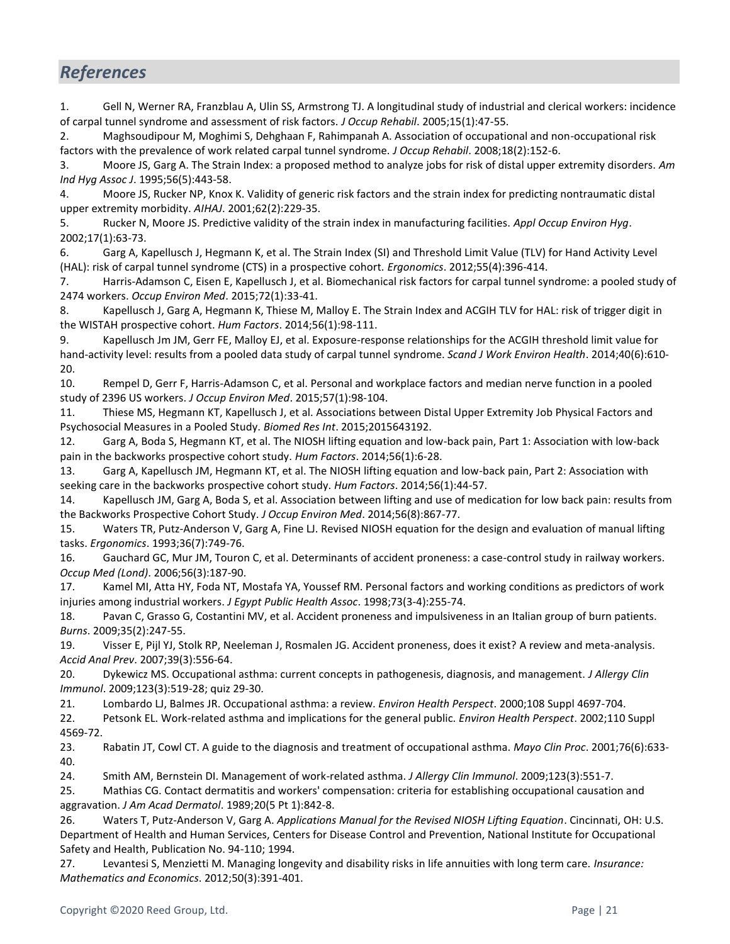# <span id="page-20-0"></span>*References*

1. Gell N, Werner RA, Franzblau A, Ulin SS, Armstrong TJ. A longitudinal study of industrial and clerical workers: incidence of carpal tunnel syndrome and assessment of risk factors. *J Occup Rehabil*. 2005;15(1):47-55.

2. Maghsoudipour M, Moghimi S, Dehghaan F, Rahimpanah A. Association of occupational and non-occupational risk factors with the prevalence of work related carpal tunnel syndrome. *J Occup Rehabil*. 2008;18(2):152-6.

3. Moore JS, Garg A. The Strain Index: a proposed method to analyze jobs for risk of distal upper extremity disorders. *Am Ind Hyg Assoc J*. 1995;56(5):443-58.

4. Moore JS, Rucker NP, Knox K. Validity of generic risk factors and the strain index for predicting nontraumatic distal upper extremity morbidity. *AIHAJ*. 2001;62(2):229-35.

5. Rucker N, Moore JS. Predictive validity of the strain index in manufacturing facilities. *Appl Occup Environ Hyg*. 2002;17(1):63-73.

6. Garg A, Kapellusch J, Hegmann K, et al. The Strain Index (SI) and Threshold Limit Value (TLV) for Hand Activity Level (HAL): risk of carpal tunnel syndrome (CTS) in a prospective cohort. *Ergonomics*. 2012;55(4):396-414.

7. Harris-Adamson C, Eisen E, Kapellusch J, et al. Biomechanical risk factors for carpal tunnel syndrome: a pooled study of 2474 workers. *Occup Environ Med*. 2015;72(1):33-41.

8. Kapellusch J, Garg A, Hegmann K, Thiese M, Malloy E. The Strain Index and ACGIH TLV for HAL: risk of trigger digit in the WISTAH prospective cohort. *Hum Factors*. 2014;56(1):98-111.

9. Kapellusch Jm JM, Gerr FE, Malloy EJ, et al. Exposure-response relationships for the ACGIH threshold limit value for hand-activity level: results from a pooled data study of carpal tunnel syndrome. *Scand J Work Environ Health*. 2014;40(6):610- 20.

10. Rempel D, Gerr F, Harris-Adamson C, et al. Personal and workplace factors and median nerve function in a pooled study of 2396 US workers. *J Occup Environ Med*. 2015;57(1):98-104.

11. Thiese MS, Hegmann KT, Kapellusch J, et al. Associations between Distal Upper Extremity Job Physical Factors and Psychosocial Measures in a Pooled Study. *Biomed Res Int*. 2015;2015643192.

12. Garg A, Boda S, Hegmann KT, et al. The NIOSH lifting equation and low-back pain, Part 1: Association with low-back pain in the backworks prospective cohort study. *Hum Factors*. 2014;56(1):6-28.

13. Garg A, Kapellusch JM, Hegmann KT, et al. The NIOSH lifting equation and low-back pain, Part 2: Association with seeking care in the backworks prospective cohort study. *Hum Factors*. 2014;56(1):44-57.

14. Kapellusch JM, Garg A, Boda S, et al. Association between lifting and use of medication for low back pain: results from the Backworks Prospective Cohort Study. *J Occup Environ Med*. 2014;56(8):867-77.

15. Waters TR, Putz-Anderson V, Garg A, Fine LJ. Revised NIOSH equation for the design and evaluation of manual lifting tasks. *Ergonomics*. 1993;36(7):749-76.

16. Gauchard GC, Mur JM, Touron C, et al. Determinants of accident proneness: a case-control study in railway workers. *Occup Med (Lond)*. 2006;56(3):187-90.

17. Kamel MI, Atta HY, Foda NT, Mostafa YA, Youssef RM. Personal factors and working conditions as predictors of work injuries among industrial workers. *J Egypt Public Health Assoc*. 1998;73(3-4):255-74.

18. Pavan C, Grasso G, Costantini MV, et al. Accident proneness and impulsiveness in an Italian group of burn patients. *Burns*. 2009;35(2):247-55.

19. Visser E, Pijl YJ, Stolk RP, Neeleman J, Rosmalen JG. Accident proneness, does it exist? A review and meta-analysis. *Accid Anal Prev*. 2007;39(3):556-64.

20. Dykewicz MS. Occupational asthma: current concepts in pathogenesis, diagnosis, and management. *J Allergy Clin Immunol*. 2009;123(3):519-28; quiz 29-30.

21. Lombardo LJ, Balmes JR. Occupational asthma: a review. *Environ Health Perspect*. 2000;108 Suppl 4697-704.

22. Petsonk EL. Work-related asthma and implications for the general public. *Environ Health Perspect*. 2002;110 Suppl 4569-72.

23. Rabatin JT, Cowl CT. A guide to the diagnosis and treatment of occupational asthma. *Mayo Clin Proc*. 2001;76(6):633- 40.

24. Smith AM, Bernstein DI. Management of work-related asthma. *J Allergy Clin Immunol*. 2009;123(3):551-7.

25. Mathias CG. Contact dermatitis and workers' compensation: criteria for establishing occupational causation and aggravation. *J Am Acad Dermatol*. 1989;20(5 Pt 1):842-8.

26. Waters T, Putz-Anderson V, Garg A. *Applications Manual for the Revised NIOSH Lifting Equation*. Cincinnati, OH: U.S. Department of Health and Human Services, Centers for Disease Control and Prevention, National Institute for Occupational Safety and Health, Publication No. 94-110; 1994.

27. Levantesi S, Menzietti M. Managing longevity and disability risks in life annuities with long term care. *Insurance: Mathematics and Economics*. 2012;50(3):391-401.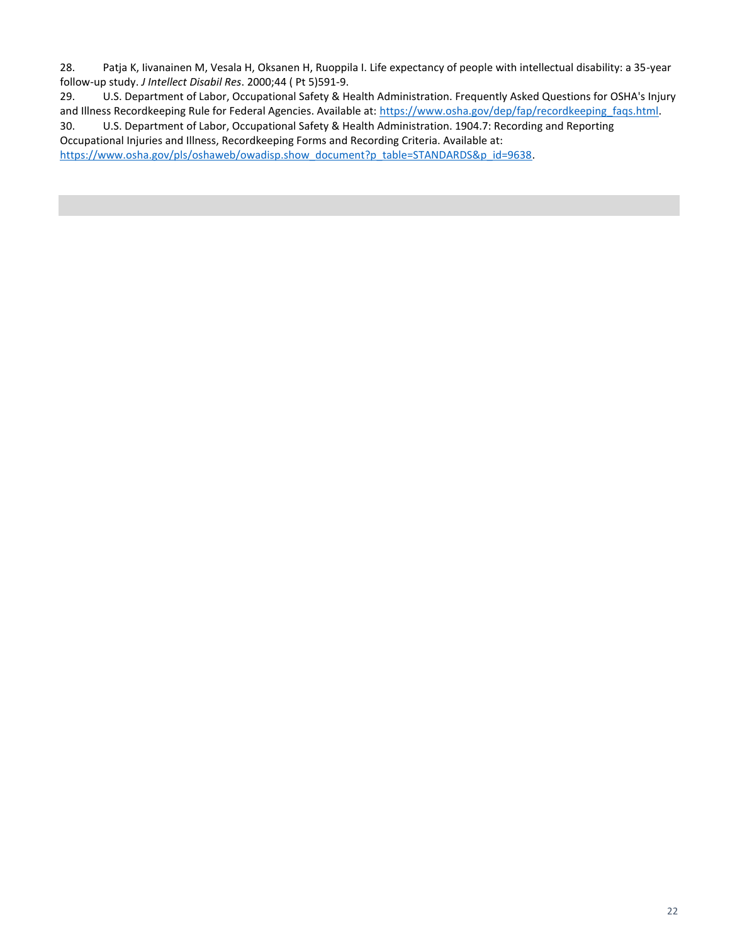28. Patja K, Iivanainen M, Vesala H, Oksanen H, Ruoppila I. Life expectancy of people with intellectual disability: a 35-year follow-up study. *J Intellect Disabil Res*. 2000;44 ( Pt 5)591-9.

29. U.S. Department of Labor, Occupational Safety & Health Administration. Frequently Asked Questions for OSHA's Injury and Illness Recordkeeping Rule for Federal Agencies. Available at[: https://www.osha.gov/dep/fap/recordkeeping\\_faqs.html.](https://www.osha.gov/dep/fap/recordkeeping_faqs.html)

30. U.S. Department of Labor, Occupational Safety & Health Administration. 1904.7: Recording and Reporting Occupational Injuries and Illness, Recordkeeping Forms and Recording Criteria. Available at: [https://www.osha.gov/pls/oshaweb/owadisp.show\\_document?p\\_table=STANDARDS&p\\_id=9638.](https://www.osha.gov/pls/oshaweb/owadisp.show_document?p_table=STANDARDS&p_id=9638)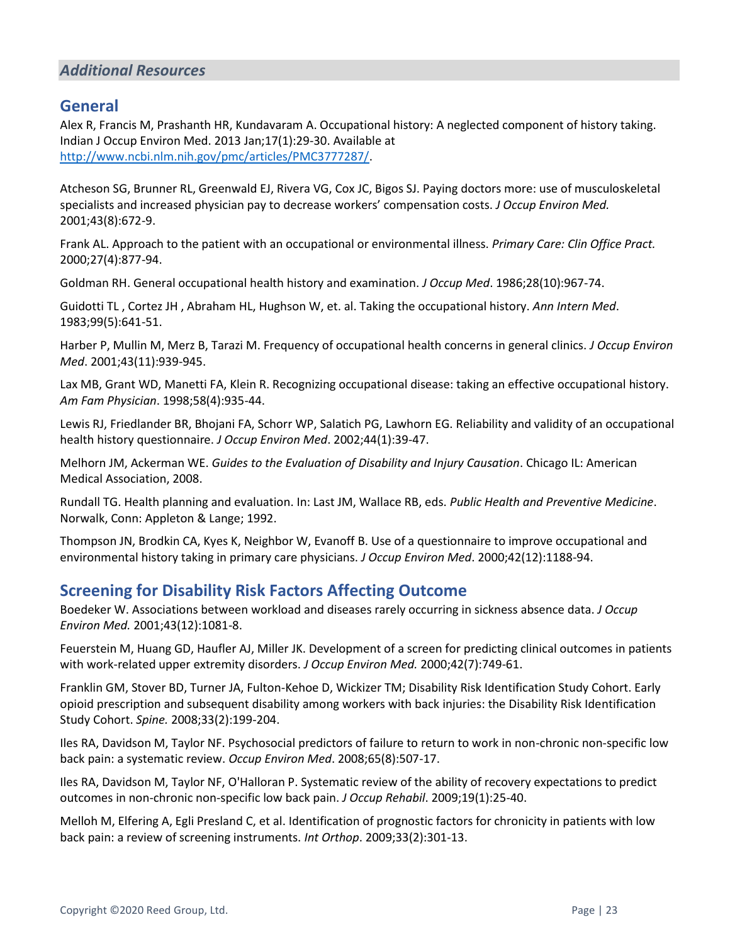#### <span id="page-22-0"></span>*Additional Resources*

#### <span id="page-22-1"></span>**General**

Alex R, Francis M, Prashanth HR, Kundavaram A. Occupational history: A neglected component of history taking. Indian J Occup Environ Med. 2013 Jan;17(1):29-30. Available at [http://www.ncbi.nlm.nih.gov/pmc/articles/PMC3777287/.](http://www.ncbi.nlm.nih.gov/pmc/articles/PMC3777287/)

Atcheson SG, Brunner RL, Greenwald EJ, Rivera VG, Cox JC, Bigos SJ. Paying doctors more: use of musculoskeletal specialists and increased physician pay to decrease workers' compensation costs. *J Occup Environ Med.*  2001;43(8):672-9.

Frank AL. Approach to the patient with an occupational or environmental illness. *Primary Care: Clin Office Pract.*  2000;27(4):877-94.

Goldman RH. General occupational health history and examination. *J Occup Med*. 1986;28(10):967-74.

Guidotti TL , Cortez JH , Abraham HL, Hughson W, et. al. Taking the occupational history. *Ann Intern Med*. 1983;99(5):641-51.

Harber P, Mullin M, Merz B, Tarazi M. Frequency of occupational health concerns in general clinics. *J Occup Environ Med*. 2001;43(11):939-945.

Lax MB, Grant WD, Manetti FA, Klein R. Recognizing occupational disease: taking an effective occupational history. *Am Fam Physician*. 1998;58(4):935-44.

Lewis RJ, Friedlander BR, Bhojani FA, Schorr WP, Salatich PG, Lawhorn EG[. Reliability and validity of an occupational](http://www.ncbi.nlm.nih.gov/pubmed/11802464)  [health history questionnaire.](http://www.ncbi.nlm.nih.gov/pubmed/11802464) *J Occup Environ Med*. 2002;44(1):39-47.

Melhorn JM, Ackerman WE. *Guides to the Evaluation of Disability and Injury Causation*. Chicago IL: American Medical Association, 2008.

Rundall TG. Health planning and evaluation. In: Last JM, Wallace RB, eds. *Public Health and Preventive Medicine*. Norwalk, Conn: Appleton & Lange; 1992.

Thompson JN, Brodkin CA, Kyes K, Neighbor W, Evanoff B. Use of a questionnaire to improve occupational and environmental history taking in primary care physicians. *J Occup Environ Med*. 2000;42(12):1188-94.

#### <span id="page-22-2"></span>**Screening for Disability Risk Factors Affecting Outcome**

Boedeker W. Associations between workload and diseases rarely occurring in sickness absence data. *J Occup Environ Med.* 2001;43(12):1081-8.

Feuerstein M, Huang GD, Haufler AJ, Miller JK. Development of a screen for predicting clinical outcomes in patients with work-related upper extremity disorders. *J Occup Environ Med.* 2000;42(7):749-61.

Franklin GM, Stover BD, Turner JA, Fulton-Kehoe D, Wickizer TM; Disability Risk Identification Study Cohort. Early opioid prescription and subsequent disability among workers with back injuries: the Disability Risk Identification Study Cohort. *Spine.* 2008;33(2):199-204.

Iles RA, Davidson M, Taylor NF. Psychosocial predictors of failure to return to work in non-chronic non-specific low back pain: a systematic review. *Occup Environ Med*. 2008;65(8):507-17.

Iles RA, Davidson M, Taylor NF, O'Halloran P. Systematic review of the ability of recovery expectations to predict outcomes in non-chronic non-specific low back pain. *J Occup Rehabil*. 2009;19(1):25-40.

Melloh M, Elfering A, Egli Presland C, et al. Identification of prognostic factors for chronicity in patients with low back pain: a review of screening instruments. *Int Orthop*. 2009;33(2):301-13.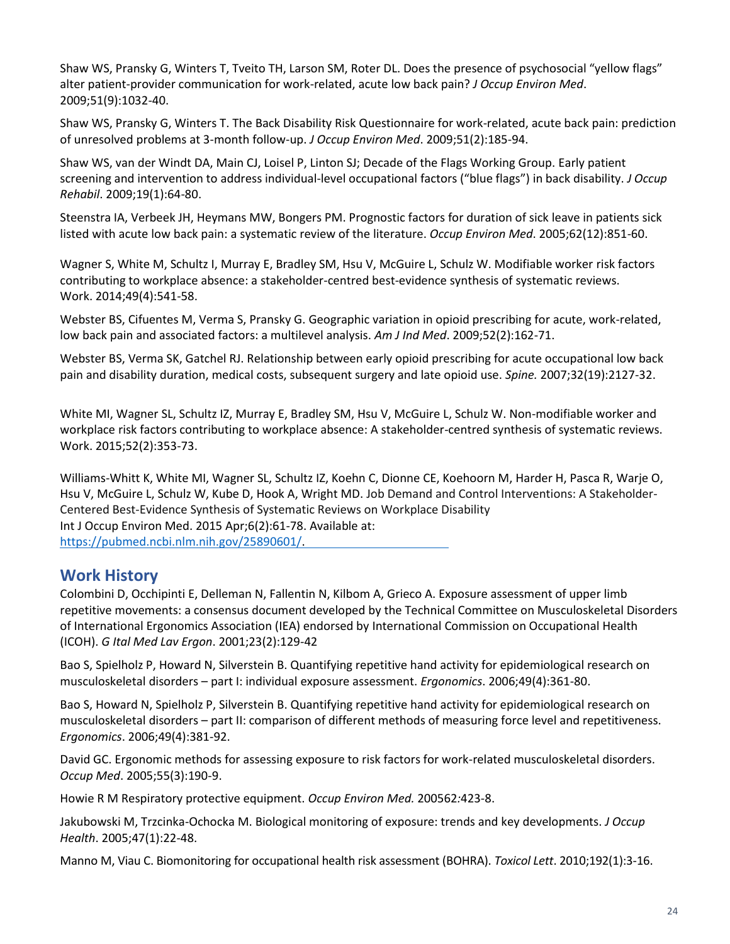Shaw WS, Pransky G, Winters T, Tveito TH, Larson SM, Roter DL. Does the presence of psychosocial "yellow flags" alter patient-provider communication for work-related, acute low back pain? *J Occup Environ Med*. 2009;51(9):1032-40.

Shaw WS, Pransky G, Winters T. The Back Disability Risk Questionnaire for work-related, acute back pain: prediction of unresolved problems at 3-month follow-up. *J Occup Environ Med*. 2009;51(2):185-94.

Shaw WS, van der Windt DA, Main CJ, Loisel P, Linton SJ; Decade of the Flags Working Group. Early patient screening and intervention to address individual-level occupational factors ("blue flags") in back disability. *J Occup Rehabil*. 2009;19(1):64-80.

Steenstra IA, Verbeek JH, Heymans MW, Bongers PM. Prognostic factors for duration of sick leave in patients sick listed with acute low back pain: a systematic review of the literature. *Occup Environ Med*. 2005;62(12):851-60.

Wagner S, White M, Schultz I, Murray E, Bradley SM, Hsu V, McGuire L, Schulz W. Modifiable worker risk factors contributing to workplace absence: a stakeholder-centred best-evidence synthesis of systematic reviews. Work. 2014;49(4):541-58.

Webster BS, Cifuentes M, Verma S, Pransky G. Geographic variation in opioid prescribing for acute, work-related, low back pain and associated factors: a multilevel analysis. *Am J Ind Med*. 2009;52(2):162-71.

Webster BS, Verma SK, Gatchel RJ. Relationship between early opioid prescribing for acute occupational low back pain and disability duration, medical costs, subsequent surgery and late opioid use. *Spine.* 2007;32(19):2127-32.

White MI, Wagner SL, Schultz IZ, Murray E, Bradley SM, Hsu V, McGuire L, Schulz W. Non-modifiable worker and workplace risk factors contributing to workplace absence: A stakeholder-centred synthesis of systematic reviews. Work. 2015;52(2):353-73.

Williams-Whitt K, White MI, Wagner SL, Schultz IZ, Koehn C, Dionne CE, Koehoorn M, Harder H, Pasca R, Warje O, Hsu V, McGuire L, Schulz W, Kube D, Hook A, Wright MD. Job Demand and Control Interventions: A Stakeholder-Centered Best-Evidence Synthesis of Systematic Reviews on Workplace Disability Int J Occup Environ Med. 2015 Apr;6(2):61-78. Available at: <https://pubmed.ncbi.nlm.nih.gov/25890601/>.

## <span id="page-23-0"></span>**Work History**

Colombini D, Occhipinti E, Delleman N, Fallentin N, Kilbom A, Grieco A. Exposure assessment of upper limb repetitive movements: a consensus document developed by the Technical Committee on Musculoskeletal Disorders of International Ergonomics Association (IEA) endorsed by International Commission on Occupational Health (ICOH). *G Ital Med Lav Ergon*. 2001;23(2):129-42

Bao S, Spielholz P, Howard N, Silverstein B. Quantifying repetitive hand activity for epidemiological research on musculoskeletal disorders – part I: individual exposure assessment. *Ergonomics*. 2006;49(4):361-80.

Bao S, Howard N, Spielholz P, Silverstein B. Quantifying repetitive hand activity for epidemiological research on musculoskeletal disorders – part II: comparison of different methods of measuring force level and repetitiveness. *Ergonomics*. 2006;49(4):381-92.

David GC. Ergonomic methods for assessing exposure to risk factors for work-related musculoskeletal disorders. *Occup Med*. 2005;55(3):190-9.

Howie R M Respiratory protective equipment. *Occup Environ Med.* 200562*:*423-8.

Jakubowski M, Trzcinka-Ochocka M. Biological monitoring of exposure: trends and key developments. *J Occup Health*. 2005;47(1):22-48.

Manno M, Viau C. Biomonitoring for occupational health risk assessment (BOHRA). *Toxicol Lett*. 2010;192(1):3-16.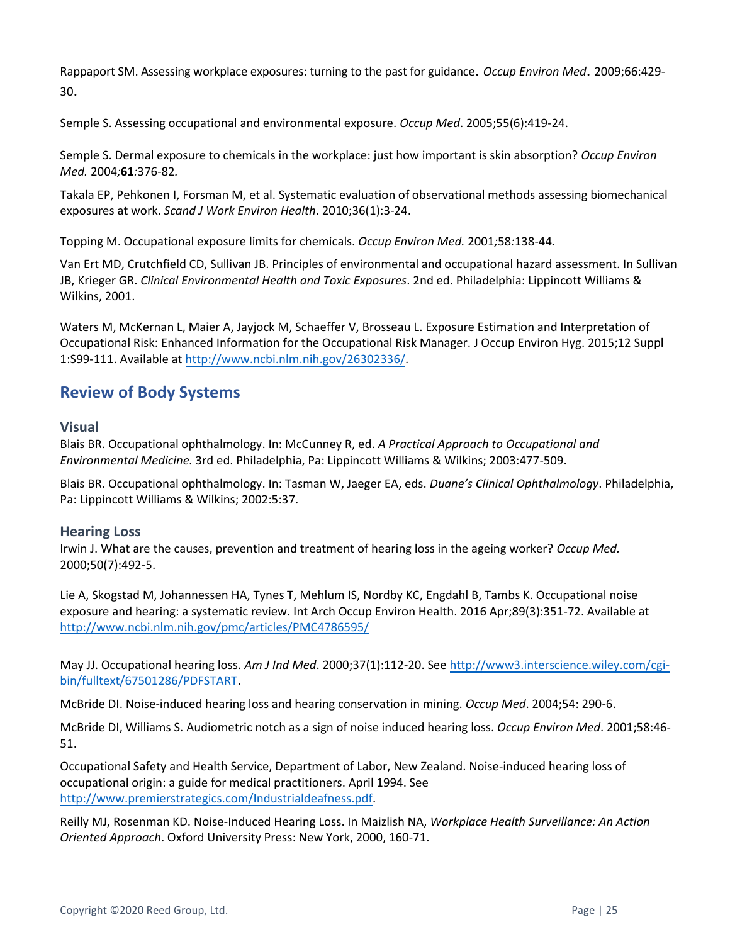Rappaport SM. Assessing workplace exposures: turning to the past for guidance. *Occup Environ Med*. 2009;66:429- 30.

Semple S. Assessing occupational and environmental exposure. *Occup Med*. 2005;55(6):419-24.

Semple S. Dermal exposure to chemicals in the workplace: just how important is skin absorption? *Occup Environ Med.* 2004*;***61***:*376-82*.*

Takala EP, Pehkonen I, Forsman M, et al. Systematic evaluation of observational methods assessing biomechanical exposures at work. *Scand J Work Environ Health*. 2010;36(1):3-24.

Topping M. Occupational exposure limits for chemicals. *Occup Environ Med.* 2001*;*58*:*138-44*.*

Van Ert MD, Crutchfield CD, Sullivan JB. Principles of environmental and occupational hazard assessment. In Sullivan JB, Krieger GR. *Clinical Environmental Health and Toxic Exposures*. 2nd ed. Philadelphia: Lippincott Williams & Wilkins, 2001.

Waters M, McKernan L, Maier A, Jayjock M, Schaeffer V, Brosseau L. Exposure Estimation and Interpretation of Occupational Risk: Enhanced Information for the Occupational Risk Manager. J Occup Environ Hyg. 2015;12 Suppl 1:S99-111. Available at [http://www.ncbi.nlm.nih.gov/](http://www.ncbi.nlm.nih.gov/26302336/)26302336/.

# <span id="page-24-0"></span>**Review of Body Systems**

**Visual**

Blais BR. Occupational ophthalmology. In: McCunney R, ed. *A Practical Approach to Occupational and Environmental Medicine.* 3rd ed. Philadelphia, Pa: Lippincott Williams & Wilkins; 2003:477-509.

Blais BR. Occupational ophthalmology. In: Tasman W, Jaeger EA, eds. *Duane's Clinical Ophthalmology*. Philadelphia, Pa: Lippincott Williams & Wilkins; 2002:5:37.

#### **Hearing Loss**

Irwin J. What are the causes, prevention and treatment of hearing loss in the ageing worker? *Occup Med.* 2000;50(7):492-5.

Lie A, Skogstad M, Johannessen HA, Tynes T, Mehlum IS, Nordby KC, Engdahl B, Tambs K. Occupational noise exposure and hearing: a systematic review. Int Arch Occup Environ Health. 2016 Apr;89(3):351-72. Available at <http://www.ncbi.nlm.nih.gov/pmc/articles/PMC4786595/>

May JJ. Occupational hearing loss. *Am J Ind Med*. 2000;37(1):112-20. See [http://www3.interscience.wiley.com/cgi](http://www3.interscience.wiley.com/cgi-bin/fulltext/67501286/PDFSTART)[bin/fulltext/67501286/PDFSTART.](http://www3.interscience.wiley.com/cgi-bin/fulltext/67501286/PDFSTART)

McBride DI. Noise-induced hearing loss and hearing conservation in mining. *Occup Med*. 2004;54: 290-6.

McBride DI, Williams S. Audiometric notch as a sign of noise induced hearing loss. *Occup Environ Med*. 2001;58:46- 51.

Occupational Safety and Health Service, Department of Labor, New Zealand. Noise-induced hearing loss of occupational origin: a guide for medical practitioners. April 1994. See <http://www.premierstrategics.com/Industrialdeafness.pdf>.

Reilly MJ, Rosenman KD. Noise-Induced Hearing Loss. In Maizlish NA, *Workplace Health Surveillance: An Action Oriented Approach*. Oxford University Press: New York, 2000, 160-71.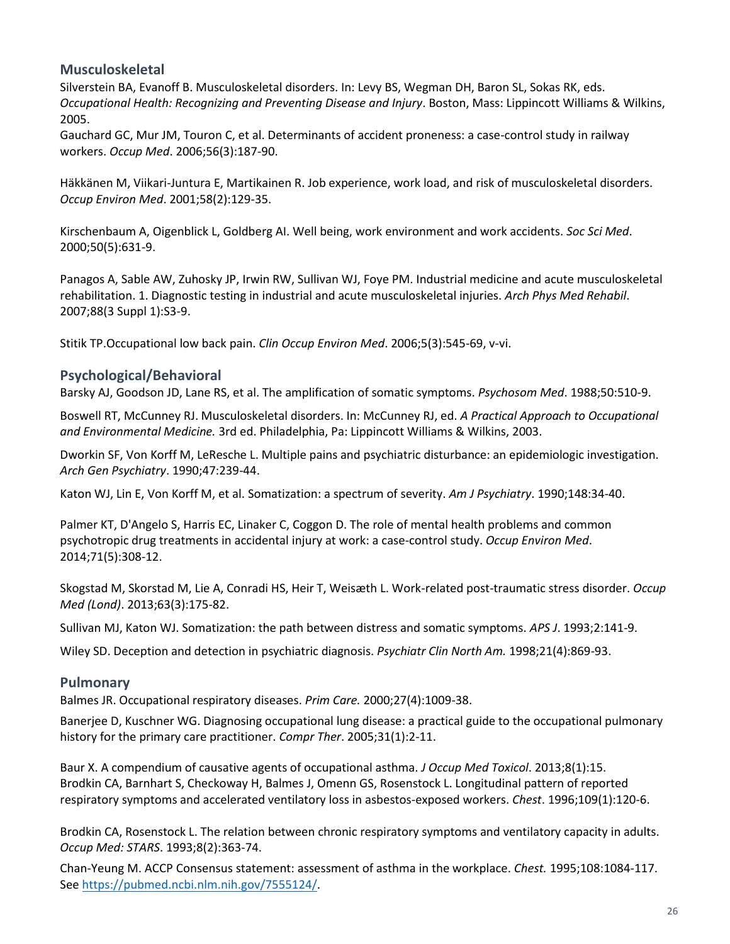#### **Musculoskeletal**

Silverstein BA, Evanoff B. Musculoskeletal disorders. In: Levy BS, Wegman DH, Baron SL, Sokas RK, eds. *Occupational Health: Recognizing and Preventing Disease and Injury*. Boston, Mass: Lippincott Williams & Wilkins, 2005.

Gauchard GC, Mur JM, Touron C, et al. Determinants of accident proneness: a case-control study in railway workers. *Occup Med*. 2006;56(3):187-90.

Häkkänen M, Viikari-Juntura E, Martikainen R. Job experience, work load, and risk of musculoskeletal disorders. *Occup Environ Med*. 2001;58(2):129-35.

Kirschenbaum A, Oigenblick L, Goldberg AI. Well being, work environment and work accidents. *Soc Sci Med*. 2000;50(5):631-9.

Panagos A, Sable AW, Zuhosky JP, Irwin RW, Sullivan WJ, Foye PM. Industrial medicine and acute musculoskeletal rehabilitation. 1. Diagnostic testing in industrial and acute musculoskeletal injuries. *Arch Phys Med Rehabil*. 2007;88(3 Suppl 1):S3-9.

Stitik TP.Occupational low back pain. *Clin Occup Environ Med*. 2006;5(3):545-69, v-vi.

#### **Psychological/Behavioral**

Barsky AJ, Goodson JD, Lane RS, et al. The amplification of somatic symptoms. *Psychosom Med*. 1988;50:510-9.

Boswell RT, McCunney RJ. Musculoskeletal disorders. In: McCunney RJ, ed. *A Practical Approach to Occupational and Environmental Medicine.* 3rd ed. Philadelphia, Pa: Lippincott Williams & Wilkins, 2003.

Dworkin SF, Von Korff M, LeResche L. Multiple pains and psychiatric disturbance: an epidemiologic investigation. *Arch Gen Psychiatry*. 1990;47:239-44.

Katon WJ, Lin E, Von Korff M, et al. Somatization: a spectrum of severity. *Am J Psychiatry*. 1990;148:34-40.

Palmer KT, D'Angelo S, Harris EC, Linaker C, Coggon D. The role of mental health problems and common psychotropic drug treatments in accidental injury at work: a case-control study. *Occup Environ Med*. 2014;71(5):308-12.

Skogstad M, Skorstad M, Lie A, Conradi HS, Heir T, Weisæth L. Work-related post-traumatic stress disorder. *Occup Med (Lond)*. 2013;63(3):175-82.

Sullivan MJ, Katon WJ. Somatization: the path between distress and somatic symptoms. *APS J*. 1993;2:141-9.

Wiley SD. Deception and detection in psychiatric diagnosis. *Psychiatr Clin North Am.* 1998;21(4):869-93.

#### **Pulmonary**

Balmes JR. Occupational respiratory diseases. *Prim Care.* 2000;27(4):1009-38.

Banerjee D, Kuschner WG[. Diagnosing occupational lung disease: a practical guide to the occupational pulmonary](http://www.ncbi.nlm.nih.gov/pubmed/15793319)  [history for the primary care practitioner.](http://www.ncbi.nlm.nih.gov/pubmed/15793319) *Compr Ther*. 2005;31(1):2-11.

Baur X. A compendium of causative agents of occupational asthma. *J Occup Med Toxicol*. 2013;8(1):15. Brodkin CA, Barnhart S, Checkoway H, Balmes J, Omenn GS, Rosenstock L. Longitudinal pattern of reported respiratory symptoms and accelerated ventilatory loss in asbestos-exposed workers. *Chest*. 1996;109(1):120-6.

Brodkin CA, Rosenstock L. The relation between chronic respiratory symptoms and ventilatory capacity in adults. *Occup Med: STARS*. 1993;8(2):363-74.

Chan-Yeung M. ACCP Consensus statement: assessment of asthma in the workplace. *Chest.* 1995;108:1084-117. See <https://pubmed.ncbi.nlm.nih.gov/7555124/>.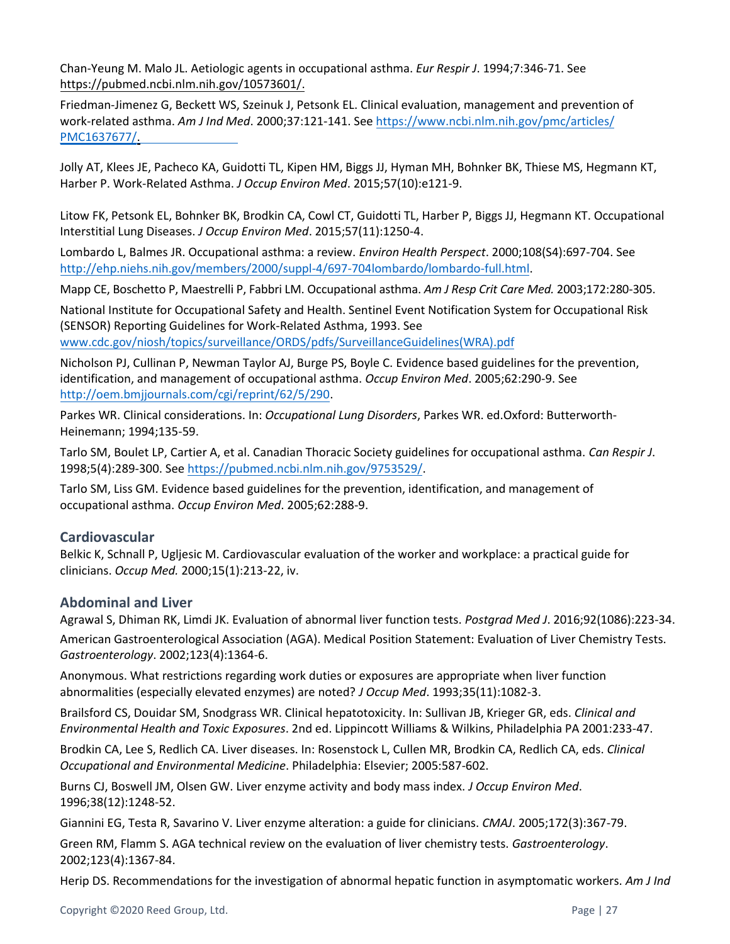Chan-Yeung M. Malo JL. Aetiologic agents in occupational asthma. *Eur Respir J*. 1994;7:346-71. See [https://pubmed.ncbi.nlm.nih.gov/10573601/.](https://pubmed.ncbi.nlm.nih.gov/10573601/)

Friedman-Jimenez G, Beckett WS, Szeinuk J, Petsonk EL. Clinical evaluation, management and prevention of work-related asthma. *Am J Ind Med*. 2000;37:121-141. See [https://www.ncbi.nlm.nih.gov/pmc/articles/](https://www.ncbi.nlm.nih.gov/pmc/articles/PMC1637677/) [PMC1637677/](http://www3.interscience.wiley.com/cgi-bin/fulltext/67501287/PDFSTART).

Jolly AT, Klees JE, Pacheco KA, Guidotti TL, Kipen HM, Biggs JJ, Hyman MH, Bohnker BK, Thiese MS, Hegmann KT, Harber P. Work-Related Asthma. *J Occup Environ Med*. 2015;57(10):e121-9.

Litow FK, Petsonk EL, Bohnker BK, Brodkin CA, Cowl CT, Guidotti TL, Harber P, Biggs JJ, Hegmann KT. Occupational Interstitial Lung Diseases. *J Occup Environ Med*. 2015;57(11):1250-4.

Lombardo L, Balmes JR. Occupational asthma: a review. *Environ Health Perspect*. 2000;108(S4):697-704. See [http://ehp.niehs.nih.gov/members/2000/suppl-4/697-704lombardo/lombardo-full.html.](http://ehp.niehs.nih.gov/members/2000/suppl-4/697-704lombardo/lombardo-full.html)

Mapp CE, Boschetto P, Maestrelli P, Fabbri LM. Occupational asthma. *Am J Resp Crit Care Med.* 2003;172:280-305.

National Institute for Occupational Safety and Health. Sentinel Event Notification System for Occupational Risk (SENSOR) Reporting Guidelines for Work-Related Asthma, 1993. See [www.cdc.gov/niosh/topics/surveillance/ORDS/pdfs/SurveillanceGuidelines\(WRA\).pdf](http://www.cdc.gov/niosh/topics/surveillance/ORDS/pdfs/SurveillanceGuidelines(WRA).pdf)

Nicholson PJ, Cullinan P, Newman Taylor AJ, Burge PS, Boyle C. Evidence based guidelines for the prevention, identification, and management of occupational asthma. *Occup Environ Med*. 2005;62:290-9. See [http://oem.bmjjournals.com/cgi/reprint/62/5/290.](http://oem.bmjjournals.com/cgi/reprint/62/5/290)

Parkes WR. Clinical considerations. In: *Occupational Lung Disorders*, Parkes WR. ed.Oxford: Butterworth-Heinemann; 1994;135-59.

Tarlo SM, Boulet LP, Cartier A, et al. Canadian Thoracic Society guidelines for occupational asthma. *Can Respir J*. 1998;5(4):289-300. See <https://pubmed.ncbi.nlm.nih.gov/9753529/>.

Tarlo SM, Liss GM. Evidence based guidelines for the prevention, identification, and management of occupational asthma. *Occup Environ Med*. 2005;62:288-9.

#### **Cardiovascular**

Belkic K, Schnall P, Ugljesic M. Cardiovascular evaluation of the worker and workplace: a practical guide for clinicians. *Occup Med.* 2000;15(1):213-22, iv.

#### **Abdominal and Liver**

Agrawal S, Dhiman RK, Limdi JK. Evaluation of abnormal liver function tests. *Postgrad Med J*. 2016;92(1086):223-34. American Gastroenterological Association (AGA). Medical Position Statement: Evaluation of Liver Chemistry Tests. *Gastroenterology*. 2002;123(4):1364-6.

Anonymous. What restrictions regarding work duties or exposures are appropriate when liver function abnormalities (especially elevated enzymes) are noted? *J Occup Med*. 1993;35(11):1082-3.

Brailsford CS, Douidar SM, Snodgrass WR. Clinical hepatotoxicity. In: Sullivan JB, Krieger GR, eds. *Clinical and Environmental Health and Toxic Exposures*. 2nd ed. Lippincott Williams & Wilkins, Philadelphia PA 2001:233-47.

Brodkin CA, Lee S, Redlich CA. Liver diseases. In: Rosenstock L, Cullen MR, Brodkin CA, Redlich CA, eds. *Clinical Occupational and Environmental Medicine*. Philadelphia: Elsevier; 2005:587-602.

Burns CJ, Boswell JM, Olsen GW. Liver enzyme activity and body mass index. *J Occup Environ Med*. 1996;38(12):1248-52.

Giannini EG, Testa R, Savarino V. Liver enzyme alteration: a guide for clinicians. *CMAJ*. 2005;172(3):367-79.

Green RM, Flamm S. AGA technical review on the evaluation of liver chemistry tests. *Gastroenterology*. 2002;123(4):1367-84.

Herip DS. Recommendations for the investigation of abnormal hepatic function in asymptomatic workers. *Am J Ind*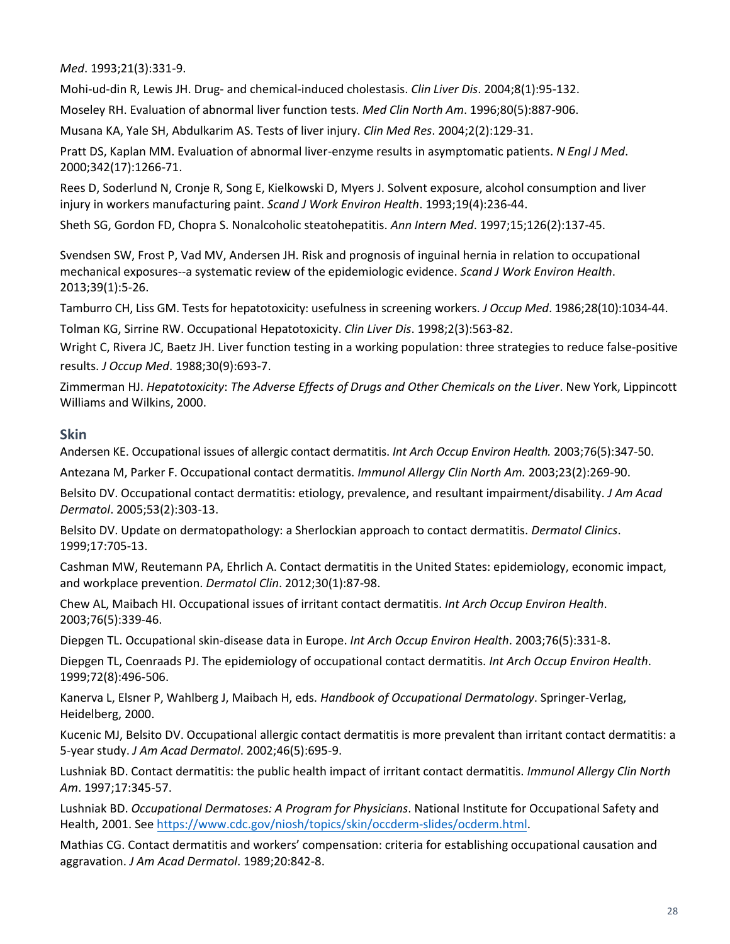*Med*. 1993;21(3):331-9.

Mohi-ud-din R, Lewis JH. Drug- and chemical-induced cholestasis. *Clin Liver Dis*. 2004;8(1):95-132.

Moseley RH. Evaluation of abnormal liver function tests. *Med Clin North Am*. 1996;80(5):887-906.

Musana KA, Yale SH, Abdulkarim AS. Tests of liver injury. *Clin Med Res*. 2004;2(2):129-31.

Pratt DS, Kaplan MM. Evaluation of abnormal liver-enzyme results in asymptomatic patients. *N Engl J Med*. 2000;342(17):1266-71.

Rees D, Soderlund N, Cronje R, Song E, Kielkowski D, Myers J. Solvent exposure, alcohol consumption and liver injury in workers manufacturing paint. *Scand J Work Environ Health*. 1993;19(4):236-44.

Sheth SG, Gordon FD, Chopra S. Nonalcoholic steatohepatitis. *Ann Intern Med*. 1997;15;126(2):137-45.

Svendsen SW, Frost P, Vad MV, Andersen JH. Risk and prognosis of inguinal hernia in relation to occupational mechanical exposures--a systematic review of the epidemiologic evidence. *Scand J Work Environ Health*. 2013;39(1):5-26.

Tamburro CH, Liss GM. Tests for hepatotoxicity: usefulness in screening workers. *J Occup Med*. 1986;28(10):1034-44.

Tolman KG, Sirrine RW. Occupational Hepatotoxicity. *Clin Liver Dis*. 1998;2(3):563-82.

Wright C, Rivera JC, Baetz JH. Liver function testing in a working population: three strategies to reduce false-positive results. *J Occup Med*. 1988;30(9):693-7.

Zimmerman HJ. *Hepatotoxicity*: *The Adverse Effects of Drugs and Other Chemicals on the Liver*. New York, Lippincott Williams and Wilkins, 2000.

#### **Skin**

Andersen KE. Occupational issues of allergic contact dermatitis. *Int Arch Occup Environ Health.* 2003;76(5):347-50.

Antezana M, Parker F. Occupational contact dermatitis. *Immunol Allergy Clin North Am.* 2003;23(2):269-90.

Belsito DV. Occupational contact dermatitis: etiology, prevalence, and resultant impairment/disability. *J Am Acad Dermatol*. 2005;53(2):303-13.

Belsito DV. Update on dermatopathology: a Sherlockian approach to contact dermatitis. *Dermatol Clinics*. 1999;17:705-13.

Cashman MW, Reutemann PA, Ehrlich A. Contact dermatitis in the United States: epidemiology, economic impact, and workplace prevention. *Dermatol Clin*. 2012;30(1):87-98.

Chew AL, Maibach HI. Occupational issues of irritant contact dermatitis. *Int Arch Occup Environ Health*. 2003;76(5):339-46.

Diepgen TL. Occupational skin-disease data in Europe. *Int Arch Occup Environ Health*. 2003;76(5):331-8.

Diepgen TL, Coenraads PJ. The epidemiology of occupational contact dermatitis. *Int Arch Occup Environ Health*. 1999;72(8):496-506.

Kanerva L, Elsner P, Wahlberg J, Maibach H, eds. *Handbook of Occupational Dermatology*. Springer-Verlag, Heidelberg, 2000.

Kucenic MJ, Belsito DV. Occupational allergic contact dermatitis is more prevalent than irritant contact dermatitis: a 5-year study. *J Am Acad Dermatol*. 2002;46(5):695-9.

Lushniak BD. Contact dermatitis: the public health impact of irritant contact dermatitis. *Immunol Allergy Clin North Am*. 1997;17:345-57.

Lushniak BD. *Occupational Dermatoses: A Program for Physicians*. National Institute for Occupational Safety and Health, 2001. See <https://www.cdc.gov/niosh/topics/skin/occderm-slides/ocderm.html>.

Mathias CG. Contact dermatitis and workers' compensation: criteria for establishing occupational causation and aggravation. *J Am Acad Dermatol*. 1989;20:842-8.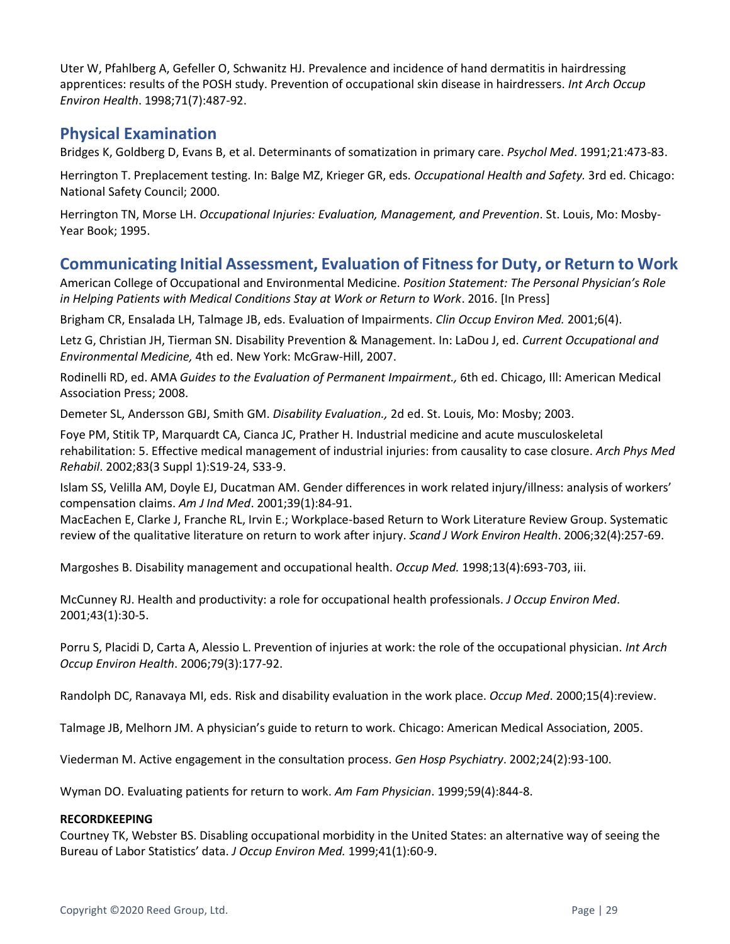Uter W, Pfahlberg A, Gefeller O, Schwanitz HJ. Prevalence and incidence of hand dermatitis in hairdressing apprentices: results of the POSH study. Prevention of occupational skin disease in hairdressers. *Int Arch Occup Environ Health*. 1998;71(7):487-92.

## <span id="page-28-0"></span>**Physical Examination**

Bridges K, Goldberg D, Evans B, et al. Determinants of somatization in primary care. *Psychol Med*. 1991;21:473-83.

Herrington T. Preplacement testing. In: Balge MZ, Krieger GR, eds. *Occupational Health and Safety.* 3rd ed. Chicago: National Safety Council; 2000.

Herrington TN, Morse LH. *Occupational Injuries: Evaluation, Management, and Prevention*. St. Louis, Mo: Mosby-Year Book; 1995.

# <span id="page-28-1"></span>**Communicating Initial Assessment, Evaluation of Fitness for Duty, or Return to Work**

American College of Occupational and Environmental Medicine. *Position Statement: The Personal Physician's Role in Helping Patients with Medical Conditions Stay at Work or Return to Work*. 2016. [In Press]

Brigham CR, Ensalada LH, Talmage JB, eds. Evaluation of Impairments. *Clin Occup Environ Med.* 2001;6(4).

Letz G, Christian JH, Tierman SN. Disability Prevention & Management. In: LaDou J, ed. *Current Occupational and Environmental Medicine,* 4th ed. New York: McGraw-Hill, 2007.

Rodinelli RD, ed. AMA *Guides to the Evaluation of Permanent Impairment.,* 6th ed. Chicago, Ill: American Medical Association Press; 2008.

Demeter SL, Andersson GBJ, Smith GM. *Disability Evaluation.,* 2d ed. St. Louis, Mo: Mosby; 2003.

Foye PM, Stitik TP, Marquardt CA, Cianca JC, Prather H. Industrial medicine and acute musculoskeletal rehabilitation: 5. Effective medical management of industrial injuries: from causality to case closure. *Arch Phys Med Rehabil*. 2002;83(3 Suppl 1):S19-24, S33-9.

Islam SS, Velilla AM, Doyle EJ, Ducatman AM. Gender differences in work related injury/illness: analysis of workers' compensation claims. *Am J Ind Med*. 2001;39(1):84-91.

MacEachen E, Clarke J, Franche RL, Irvin E.; Workplace-based Return to Work Literature Review Group. Systematic review of the qualitative literature on return to work after injury. *Scand J Work Environ Health*. 2006;32(4):257-69.

Margoshes B. Disability management and occupational health. *Occup Med.* 1998;13(4):693-703, iii.

McCunney RJ. Health and productivity: a role for occupational health professionals. *J Occup Environ Med*. 2001;43(1):30-5.

Porru S, Placidi D, Carta A, Alessio L. Prevention of injuries at work: the role of the occupational physician. *Int Arch Occup Environ Health*. 2006;79(3):177-92.

Randolph DC, Ranavaya MI, eds. Risk and disability evaluation in the work place. *Occup Med*. 2000;15(4):review.

Talmage JB, Melhorn JM. A physician's guide to return to work. Chicago: American Medical Association, 2005.

Viederman M. Active engagement in the consultation process. *Gen Hosp Psychiatry*. 2002;24(2):93-100.

Wyman DO. Evaluating patients for return to work. *Am Fam Physician*. 1999;59(4):844-8.

#### **RECORDKEEPING**

Courtney TK, Webster BS. Disabling occupational morbidity in the United States: an alternative way of seeing the Bureau of Labor Statistics' data. *J Occup Environ Med.* 1999;41(1):60-9.